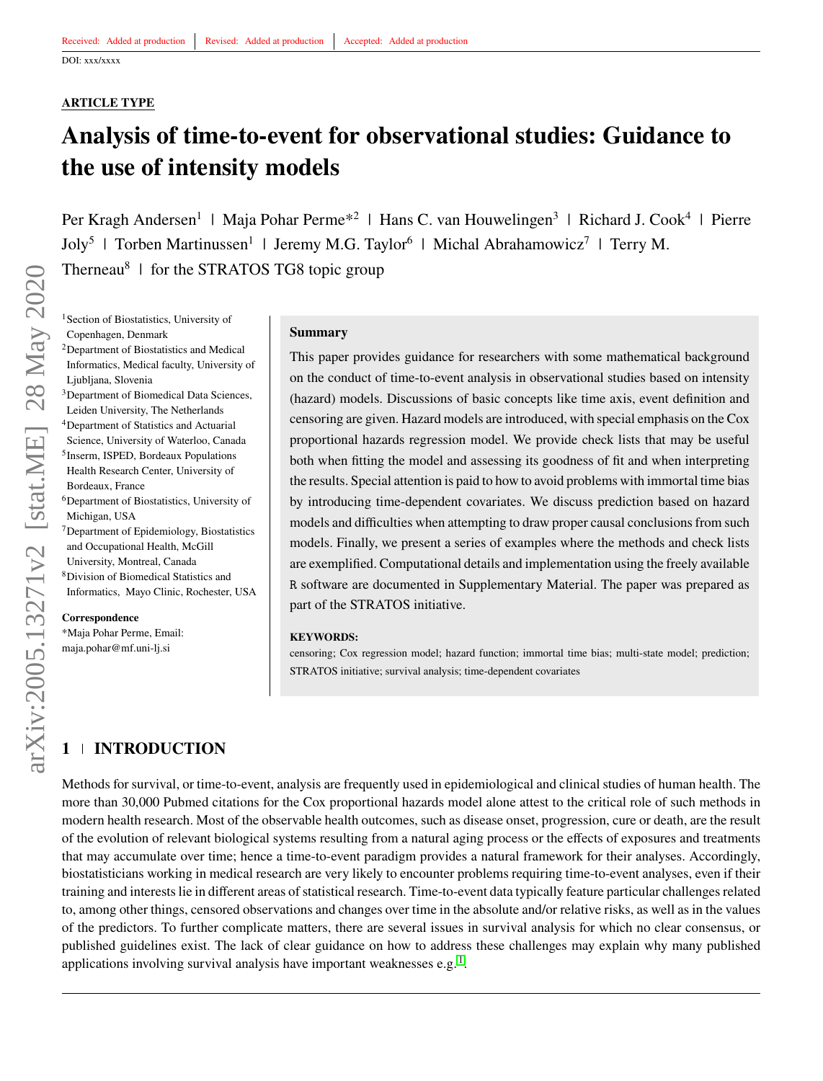#### **ARTICLE TYPE**

# **Analysis of time-to-event for observational studies: Guidance to the use of intensity models**

Per Kragh Andersen<sup>1</sup> | Maja Pohar Perme<sup>\*2</sup> | Hans C. van Houwelingen<sup>3</sup> | Richard J. Cook<sup>4</sup> | Pierre Joly<sup>5</sup> | Torben Martinussen<sup>1</sup> | Jeremy M.G. Taylor<sup>6</sup> | Michal Abrahamowicz<sup>7</sup> | Terry M. Therneau<sup>8</sup> | for the STRATOS TG8 topic group

<sup>1</sup> Section of Biostatistics, University of Copenhagen, Denmark

- <sup>2</sup>Department of Biostatistics and Medical Informatics, Medical faculty, University of Ljubljana, Slovenia <sup>3</sup>Department of Biomedical Data Sciences,
- Leiden University, The Netherlands <sup>4</sup>Department of Statistics and Actuarial
- Science, University of Waterloo, Canada 5 Inserm, ISPED, Bordeaux Populations Health Research Center, University of Bordeaux, France
- <sup>6</sup>Department of Biostatistics, University of Michigan, USA
- <sup>7</sup>Department of Epidemiology, Biostatistics and Occupational Health, McGill
- University, Montreal, Canada
- <sup>8</sup>Division of Biomedical Statistics and Informatics, Mayo Clinic, Rochester, USA

**Correspondence**

\*Maja Pohar Perme, Email: maja.pohar@mf.uni-lj.si

#### **Summary**

This paper provides guidance for researchers with some mathematical background on the conduct of time-to-event analysis in observational studies based on intensity (hazard) models. Discussions of basic concepts like time axis, event definition and censoring are given. Hazard models are introduced, with special emphasis on the Cox proportional hazards regression model. We provide check lists that may be useful both when fitting the model and assessing its goodness of fit and when interpreting the results. Special attention is paid to how to avoid problems with immortal time bias by introducing time-dependent covariates. We discuss prediction based on hazard models and difficulties when attempting to draw proper causal conclusions from such models. Finally, we present a series of examples where the methods and check lists are exemplified. Computational details and implementation using the freely available R software are documented in Supplementary Material. The paper was prepared as part of the STRATOS initiative.

#### **KEYWORDS:**

censoring; Cox regression model; hazard function; immortal time bias; multi-state model; prediction; STRATOS initiative; survival analysis; time-dependent covariates

# **1 INTRODUCTION**

Methods for survival, or time-to-event, analysis are frequently used in epidemiological and clinical studies of human health. The more than 30,000 Pubmed citations for the Cox proportional hazards model alone attest to the critical role of such methods in modern health research. Most of the observable health outcomes, such as disease onset, progression, cure or death, are the result of the evolution of relevant biological systems resulting from a natural aging process or the effects of exposures and treatments that may accumulate over time; hence a time-to-event paradigm provides a natural framework for their analyses. Accordingly, biostatisticians working in medical research are very likely to encounter problems requiring time-to-event analyses, even if their training and interests lie in different areas of statistical research. Time-to-event data typically feature particular challenges related to, among other things, censored observations and changes over time in the absolute and/or relative risks, as well as in the values of the predictors. To further complicate matters, there are several issues in survival analysis for which no clear consensus, or published guidelines exist. The lack of clear guidance on how to address these challenges may explain why many published applications involving survival analysis have important weaknesses e.g.  $<sup>1</sup>$  $<sup>1</sup>$  $<sup>1</sup>$ .</sup>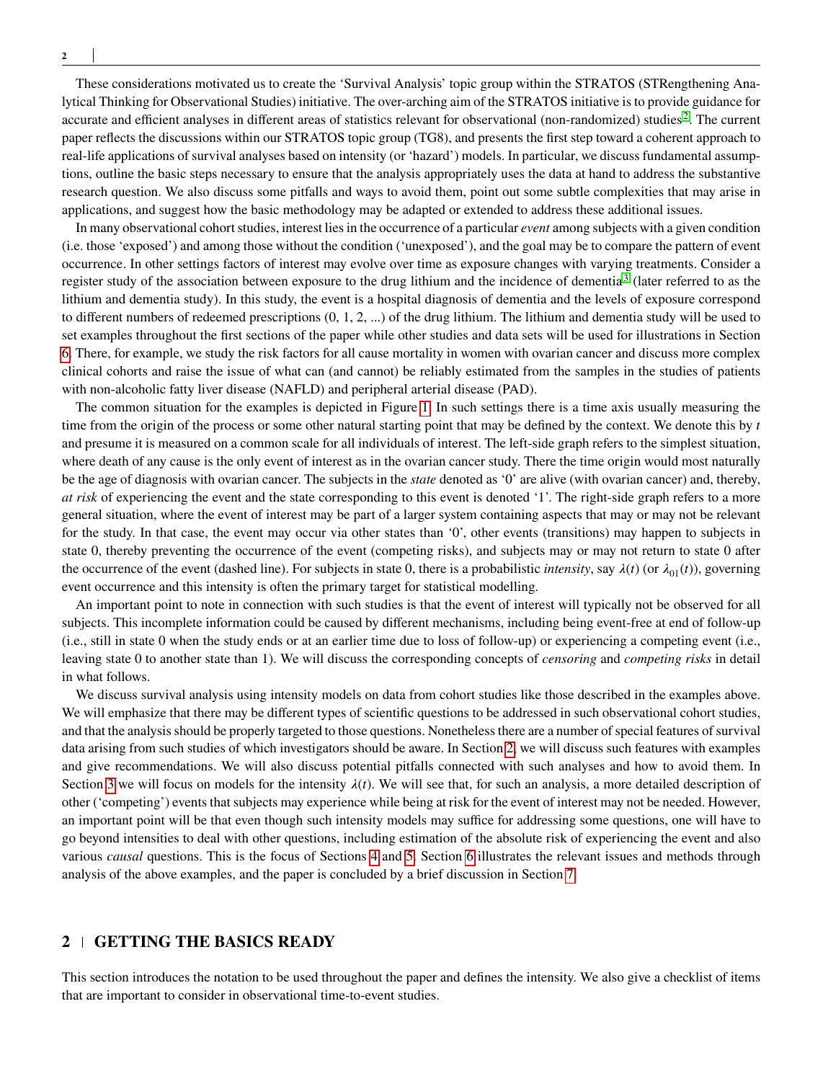**2**

These considerations motivated us to create the 'Survival Analysis' topic group within the STRATOS (STRengthening Analytical Thinking for Observational Studies) initiative. The over-arching aim of the STRATOS initiative is to provide guidance for accurate and efficient analyses in different areas of statistics relevant for observational (non-randomized) studies<sup>[2](#page-24-1)</sup>. The current paper reflects the discussions within our STRATOS topic group (TG8), and presents the first step toward a coherent approach to real-life applications of survival analyses based on intensity (or 'hazard') models. In particular, we discuss fundamental assumptions, outline the basic steps necessary to ensure that the analysis appropriately uses the data at hand to address the substantive research question. We also discuss some pitfalls and ways to avoid them, point out some subtle complexities that may arise in applications, and suggest how the basic methodology may be adapted or extended to address these additional issues.

In many observational cohort studies, interest lies in the occurrence of a particular *event* among subjects with a given condition (i.e. those 'exposed') and among those without the condition ('unexposed'), and the goal may be to compare the pattern of event occurrence. In other settings factors of interest may evolve over time as exposure changes with varying treatments. Consider a register study of the association between exposure to the drug lithium and the incidence of dementia<sup>[3](#page-24-2)</sup> (later referred to as the lithium and dementia study). In this study, the event is a hospital diagnosis of dementia and the levels of exposure correspond to different numbers of redeemed prescriptions (0, 1, 2, ...) of the drug lithium. The lithium and dementia study will be used to set examples throughout the first sections of the paper while other studies and data sets will be used for illustrations in Section [6.](#page-13-0) There, for example, we study the risk factors for all cause mortality in women with ovarian cancer and discuss more complex clinical cohorts and raise the issue of what can (and cannot) be reliably estimated from the samples in the studies of patients with non-alcoholic fatty liver disease (NAFLD) and peripheral arterial disease (PAD).

The common situation for the examples is depicted in Figure [1.](#page-2-0) In such settings there is a time axis usually measuring the time from the origin of the process or some other natural starting point that may be defined by the context. We denote this by *t* and presume it is measured on a common scale for all individuals of interest. The left-side graph refers to the simplest situation, where death of any cause is the only event of interest as in the ovarian cancer study. There the time origin would most naturally be the age of diagnosis with ovarian cancer. The subjects in the *state* denoted as '0' are alive (with ovarian cancer) and, thereby, *at risk* of experiencing the event and the state corresponding to this event is denoted '1'. The right-side graph refers to a more general situation, where the event of interest may be part of a larger system containing aspects that may or may not be relevant for the study. In that case, the event may occur via other states than '0', other events (transitions) may happen to subjects in state 0, thereby preventing the occurrence of the event (competing risks), and subjects may or may not return to state 0 after the occurrence of the event (dashed line). For subjects in state 0, there is a probabilistic *intensity*, say  $\lambda(t)$  (or  $\lambda_{01}(t)$ ), governing event occurrence and this intensity is often the primary target for statistical modelling.

An important point to note in connection with such studies is that the event of interest will typically not be observed for all subjects. This incomplete information could be caused by different mechanisms, including being event-free at end of follow-up (i.e., still in state 0 when the study ends or at an earlier time due to loss of follow-up) or experiencing a competing event (i.e., leaving state 0 to another state than 1). We will discuss the corresponding concepts of *censoring* and *competing risks* in detail in what follows.

We discuss survival analysis using intensity models on data from cohort studies like those described in the examples above. We will emphasize that there may be different types of scientific questions to be addressed in such observational cohort studies, and that the analysis should be properly targeted to those questions. Nonetheless there are a number of special features of survival data arising from such studies of which investigators should be aware. In Section [2,](#page-1-0) we will discuss such features with examples and give recommendations. We will also discuss potential pitfalls connected with such analyses and how to avoid them. In Section [3](#page-5-0) we will focus on models for the intensity  $\lambda(t)$ . We will see that, for such an analysis, a more detailed description of other ('competing') events that subjects may experience while being at risk for the event of interest may not be needed. However, an important point will be that even though such intensity models may suffice for addressing some questions, one will have to go beyond intensities to deal with other questions, including estimation of the absolute risk of experiencing the event and also various *causal* questions. This is the focus of Sections [4](#page-10-0) and [5.](#page-12-0) Section [6](#page-13-0) illustrates the relevant issues and methods through analysis of the above examples, and the paper is concluded by a brief discussion in Section [7.](#page-22-0)

# <span id="page-1-0"></span>**2 GETTING THE BASICS READY**

This section introduces the notation to be used throughout the paper and defines the intensity. We also give a checklist of items that are important to consider in observational time-to-event studies.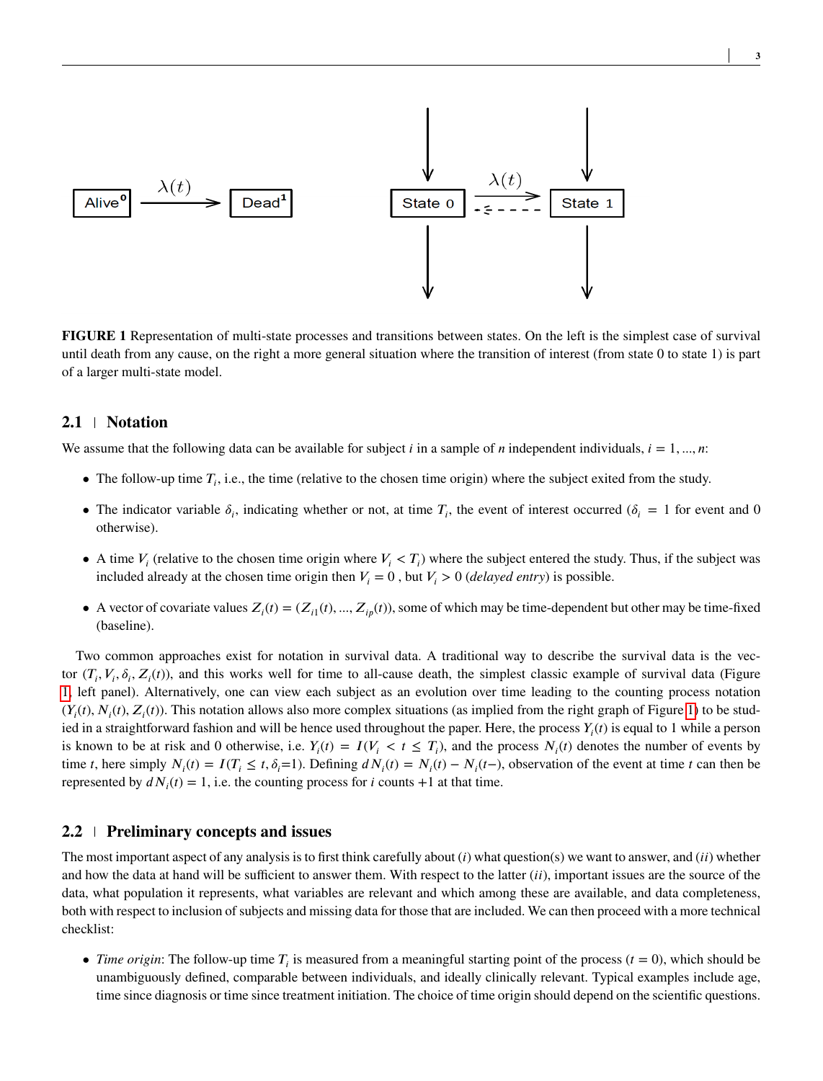<span id="page-2-0"></span>

**FIGURE 1** Representation of multi-state processes and transitions between states. On the left is the simplest case of survival until death from any cause, on the right a more general situation where the transition of interest (from state 0 to state 1) is part of a larger multi-state model.

#### **2.1 Notation**

We assume that the following data can be available for subject *i* in a sample of *n* independent individuals,  $i = 1, ..., n$ :

- The follow-up time  $T_i$ , i.e., the time (relative to the chosen time origin) where the subject exited from the study.
- The indicator variable  $\delta_i$ , indicating whether or not, at time  $T_i$ , the event of interest occurred ( $\delta_i = 1$  for event and 0 otherwise).
- A time  $V_i$  (relative to the chosen time origin where  $V_i < T_i$ ) where the subject entered the study. Thus, if the subject was included already at the chosen time origin then  $V_i = 0$ , but  $V_i > 0$  (*delayed entry*) is possible.
- A vector of covariate values  $Z_i(t) = (Z_{i1}(t), ..., Z_{ip}(t))$ , some of which may be time-dependent but other may be time-fixed (baseline).

Two common approaches exist for notation in survival data. A traditional way to describe the survival data is the vector  $(T_i, V_i, \delta_i, Z_i(t))$ , and this works well for time to all-cause death, the simplest classic example of survival data (Figure [1,](#page-2-0) left panel). Alternatively, one can view each subject as an evolution over time leading to the counting process notation  $(Y_i(t), N_i(t), Z_i(t))$ . This notation allows also more complex situations (as implied from the right graph of Figure [1\)](#page-2-0) to be studied in a straightforward fashion and will be hence used throughout the paper. Here, the process  $Y_i(t)$  is equal to 1 while a person is known to be at risk and 0 otherwise, i.e.  $Y_i(t) = I(V_i < t \leq T_i)$ , and the process  $N_i(t)$  denotes the number of events by time t, here simply  $N_i(t) = I(T_i \le t, \delta_i=1)$ . Defining  $dN_i(t) = N_i(t) - N_i(t-)$ , observation of the event at time t can then be represented by  $dN_i(t) = 1$ , i.e. the counting process for *i* counts +1 at that time.

#### <span id="page-2-1"></span>**2.2 Preliminary concepts and issues**

The most important aspect of any analysis is to first think carefully about (*i*) what question(s) we want to answer, and (*ii*) whether and how the data at hand will be sufficient to answer them. With respect to the latter (*ii*), important issues are the source of the data, what population it represents, what variables are relevant and which among these are available, and data completeness, both with respect to inclusion of subjects and missing data for those that are included. We can then proceed with a more technical checklist:

• *Time origin*: The follow-up time  $T_i$  is measured from a meaningful starting point of the process ( $t = 0$ ), which should be unambiguously defined, comparable between individuals, and ideally clinically relevant. Typical examples include age, time since diagnosis or time since treatment initiation. The choice of time origin should depend on the scientific questions.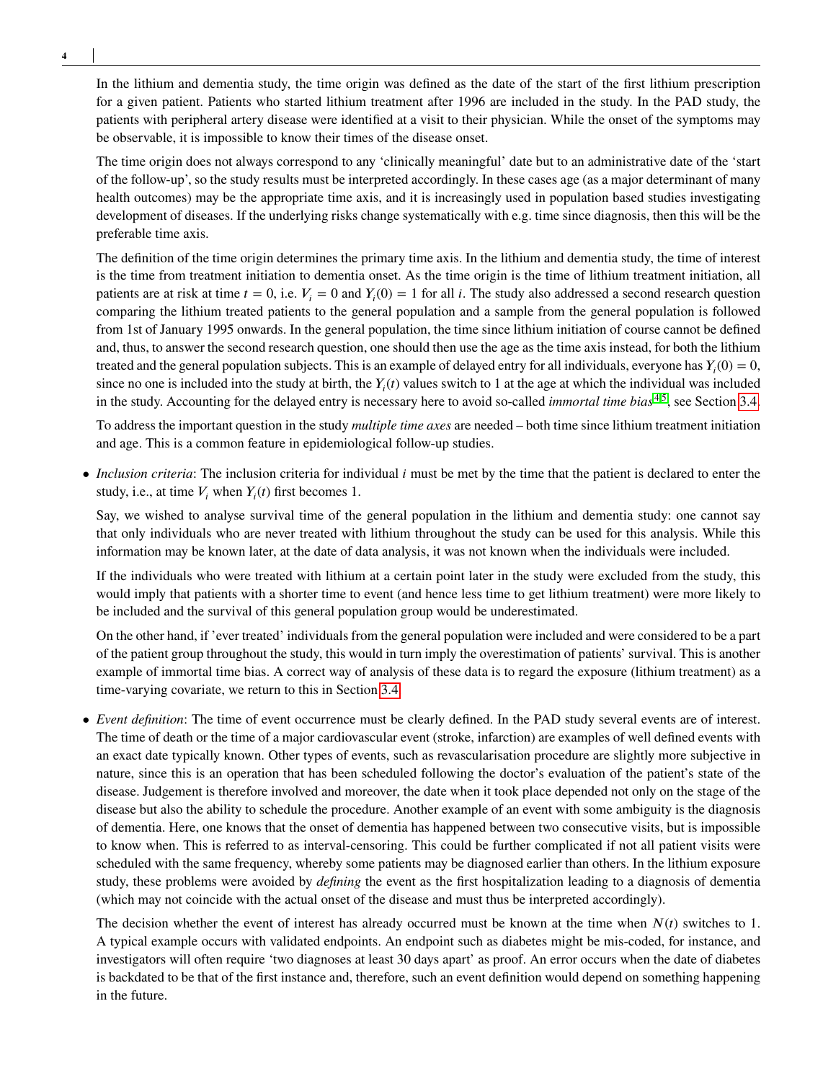**4**

In the lithium and dementia study, the time origin was defined as the date of the start of the first lithium prescription for a given patient. Patients who started lithium treatment after 1996 are included in the study. In the PAD study, the patients with peripheral artery disease were identified at a visit to their physician. While the onset of the symptoms may be observable, it is impossible to know their times of the disease onset.

The time origin does not always correspond to any 'clinically meaningful' date but to an administrative date of the 'start of the follow-up', so the study results must be interpreted accordingly. In these cases age (as a major determinant of many health outcomes) may be the appropriate time axis, and it is increasingly used in population based studies investigating development of diseases. If the underlying risks change systematically with e.g. time since diagnosis, then this will be the preferable time axis.

The definition of the time origin determines the primary time axis. In the lithium and dementia study, the time of interest is the time from treatment initiation to dementia onset. As the time origin is the time of lithium treatment initiation, all patients are at risk at time  $t = 0$ , i.e.  $V_i = 0$  and  $Y_i(0) = 1$  for all *i*. The study also addressed a second research question comparing the lithium treated patients to the general population and a sample from the general population is followed from 1st of January 1995 onwards. In the general population, the time since lithium initiation of course cannot be defined and, thus, to answer the second research question, one should then use the age as the time axis instead, for both the lithium treated and the general population subjects. This is an example of delayed entry for all individuals, everyone has  $Y_i(0) = 0$ , since no one is included into the study at birth, the  $Y_i(t)$  values switch to 1 at the age at which the individual was included in the study. Accounting for the delayed entry is necessary here to avoid so-called *immortal time bias* [4](#page-24-3)[,5](#page-24-4), see Section [3.4.](#page-9-0)

To address the important question in the study *multiple time axes* are needed – both time since lithium treatment initiation and age. This is a common feature in epidemiological follow-up studies.

• *Inclusion criteria*: The inclusion criteria for individual *i* must be met by the time that the patient is declared to enter the study, i.e., at time  $V_i$  when  $Y_i(t)$  first becomes 1.

Say, we wished to analyse survival time of the general population in the lithium and dementia study: one cannot say that only individuals who are never treated with lithium throughout the study can be used for this analysis. While this information may be known later, at the date of data analysis, it was not known when the individuals were included.

If the individuals who were treated with lithium at a certain point later in the study were excluded from the study, this would imply that patients with a shorter time to event (and hence less time to get lithium treatment) were more likely to be included and the survival of this general population group would be underestimated.

On the other hand, if 'ever treated' individuals from the general population were included and were considered to be a part of the patient group throughout the study, this would in turn imply the overestimation of patients' survival. This is another example of immortal time bias. A correct way of analysis of these data is to regard the exposure (lithium treatment) as a time-varying covariate, we return to this in Section [3.4.](#page-9-0)

• *Event definition*: The time of event occurrence must be clearly defined. In the PAD study several events are of interest. The time of death or the time of a major cardiovascular event (stroke, infarction) are examples of well defined events with an exact date typically known. Other types of events, such as revascularisation procedure are slightly more subjective in nature, since this is an operation that has been scheduled following the doctor's evaluation of the patient's state of the disease. Judgement is therefore involved and moreover, the date when it took place depended not only on the stage of the disease but also the ability to schedule the procedure. Another example of an event with some ambiguity is the diagnosis of dementia. Here, one knows that the onset of dementia has happened between two consecutive visits, but is impossible to know when. This is referred to as interval-censoring. This could be further complicated if not all patient visits were scheduled with the same frequency, whereby some patients may be diagnosed earlier than others. In the lithium exposure study, these problems were avoided by *defining* the event as the first hospitalization leading to a diagnosis of dementia (which may not coincide with the actual onset of the disease and must thus be interpreted accordingly).

The decision whether the event of interest has already occurred must be known at the time when  $N(t)$  switches to 1. A typical example occurs with validated endpoints. An endpoint such as diabetes might be mis-coded, for instance, and investigators will often require 'two diagnoses at least 30 days apart' as proof. An error occurs when the date of diabetes is backdated to be that of the first instance and, therefore, such an event definition would depend on something happening in the future.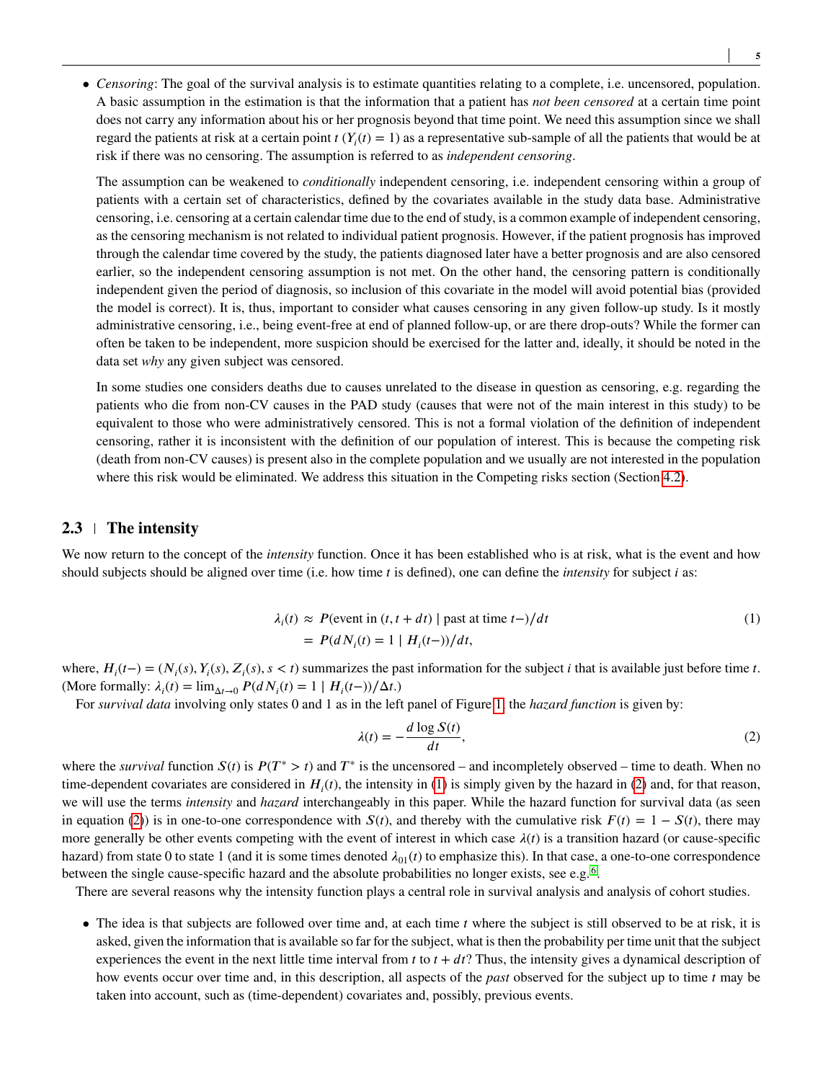• *Censoring*: The goal of the survival analysis is to estimate quantities relating to a complete, i.e. uncensored, population. A basic assumption in the estimation is that the information that a patient has *not been censored* at a certain time point does not carry any information about his or her prognosis beyond that time point. We need this assumption since we shall regard the patients at risk at a certain point  $t(Y_i(t) = 1)$  as a representative sub-sample of all the patients that would be at risk if there was no censoring. The assumption is referred to as *independent censoring*.

The assumption can be weakened to *conditionally* independent censoring, i.e. independent censoring within a group of patients with a certain set of characteristics, defined by the covariates available in the study data base. Administrative censoring, i.e. censoring at a certain calendar time due to the end of study, is a common example of independent censoring, as the censoring mechanism is not related to individual patient prognosis. However, if the patient prognosis has improved through the calendar time covered by the study, the patients diagnosed later have a better prognosis and are also censored earlier, so the independent censoring assumption is not met. On the other hand, the censoring pattern is conditionally independent given the period of diagnosis, so inclusion of this covariate in the model will avoid potential bias (provided the model is correct). It is, thus, important to consider what causes censoring in any given follow-up study. Is it mostly administrative censoring, i.e., being event-free at end of planned follow-up, or are there drop-outs? While the former can often be taken to be independent, more suspicion should be exercised for the latter and, ideally, it should be noted in the data set *why* any given subject was censored.

In some studies one considers deaths due to causes unrelated to the disease in question as censoring, e.g. regarding the patients who die from non-CV causes in the PAD study (causes that were not of the main interest in this study) to be equivalent to those who were administratively censored. This is not a formal violation of the definition of independent censoring, rather it is inconsistent with the definition of our population of interest. This is because the competing risk (death from non-CV causes) is present also in the complete population and we usually are not interested in the population where this risk would be eliminated. We address this situation in the Competing risks section (Section [4.2\)](#page-12-1).

# <span id="page-4-0"></span>**2.3 The intensity**

We now return to the concept of the *intensity* function. Once it has been established who is at risk, what is the event and how should subjects should be aligned over time (i.e. how time *t* is defined), one can define the *intensity* for subject *i* as:

$$
\lambda_i(t) \approx P(\text{event in } (t, t + dt) \mid \text{past at time } t-)/dt
$$
\n
$$
= P(dN_i(t) = 1 \mid H_i(t-))/dt,\tag{1}
$$

where,  $H_i(t-) = (N_i(s), Y_i(s), Z_i(s), s < t)$  summarizes the past information for the subject *i* that is available just before time *t*. (More formally:  $\lambda_i(t) = \lim_{\Delta t \to 0} P(dN_i(t) = 1 | H_i(t-1) / \Delta t)$ .)

For *survival data* involving only states 0 and 1 as in the left panel of Figure [1,](#page-2-0) the *hazard function* is given by:

<span id="page-4-1"></span>
$$
\lambda(t) = -\frac{d \log S(t)}{dt},\tag{2}
$$

where the *survival* function  $S(t)$  is  $P(T^* > t)$  and  $T^*$  is the uncensored – and incompletely observed – time to death. When no time-dependent covariates are considered in  $H_i(t)$ , the intensity in [\(1\)](#page-4-0) is simply given by the hazard in [\(2\)](#page-4-1) and, for that reason, we will use the terms *intensity* and *hazard* interchangeably in this paper. While the hazard function for survival data (as seen in equation [\(2\)](#page-4-1)) is in one-to-one correspondence with  $S(t)$ , and thereby with the cumulative risk  $F(t) = 1 - S(t)$ , there may more generally be other events competing with the event of interest in which case  $\lambda(t)$  is a transition hazard (or cause-specific hazard) from state 0 to state 1 (and it is some times denoted  $\lambda_{01}(t)$  to emphasize this). In that case, a one-to-one correspondence between the single cause-specific hazard and the absolute probabilities no longer exists, see e.g.<sup>[6](#page-24-5)</sup>.

There are several reasons why the intensity function plays a central role in survival analysis and analysis of cohort studies.

• The idea is that subjects are followed over time and, at each time *t* where the subject is still observed to be at risk, it is asked, given the information that is available so far for the subject, what is then the probability per time unit that the subject experiences the event in the next little time interval from  $t$  to  $t + dt$ ? Thus, the intensity gives a dynamical description of how events occur over time and, in this description, all aspects of the *past* observed for the subject up to time *t* may be taken into account, such as (time-dependent) covariates and, possibly, previous events.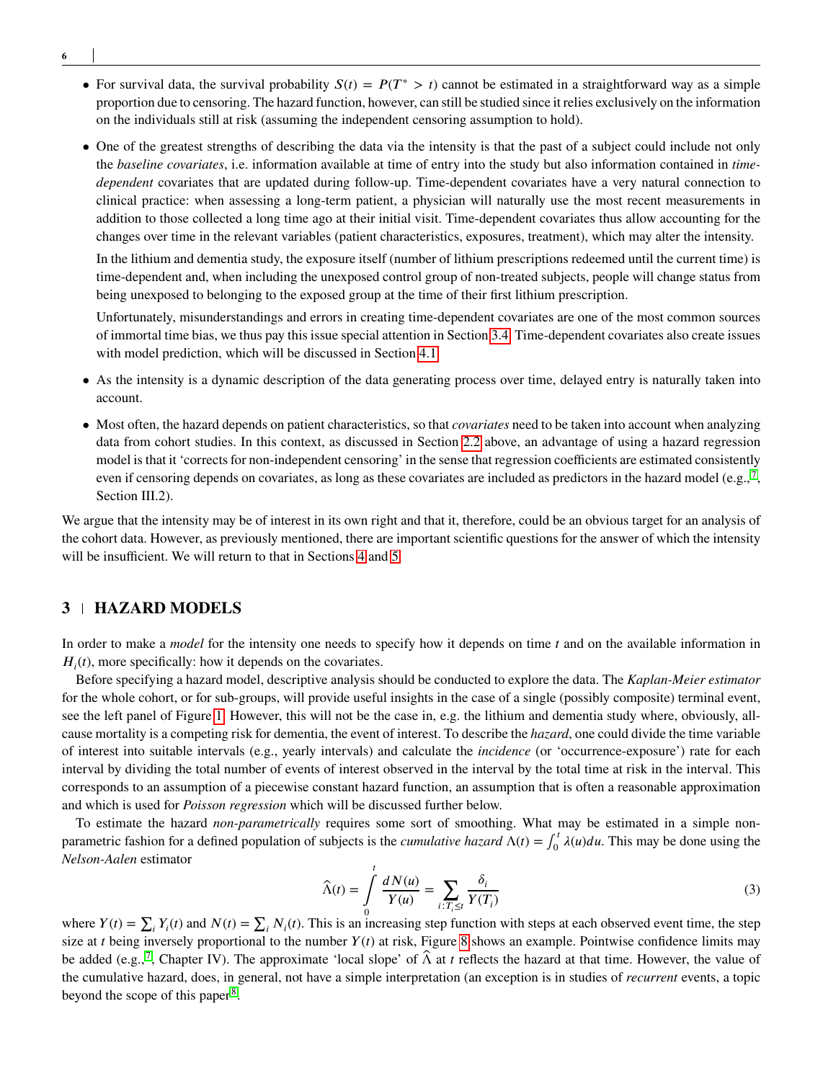- For survival data, the survival probability  $S(t) = P(T^* > t)$  cannot be estimated in a straightforward way as a simple proportion due to censoring. The hazard function, however, can still be studied since it relies exclusively on the information on the individuals still at risk (assuming the independent censoring assumption to hold).
- One of the greatest strengths of describing the data via the intensity is that the past of a subject could include not only the *baseline covariates*, i.e. information available at time of entry into the study but also information contained in *timedependent* covariates that are updated during follow-up. Time-dependent covariates have a very natural connection to clinical practice: when assessing a long-term patient, a physician will naturally use the most recent measurements in addition to those collected a long time ago at their initial visit. Time-dependent covariates thus allow accounting for the changes over time in the relevant variables (patient characteristics, exposures, treatment), which may alter the intensity.

In the lithium and dementia study, the exposure itself (number of lithium prescriptions redeemed until the current time) is time-dependent and, when including the unexposed control group of non-treated subjects, people will change status from being unexposed to belonging to the exposed group at the time of their first lithium prescription.

Unfortunately, misunderstandings and errors in creating time-dependent covariates are one of the most common sources of immortal time bias, we thus pay this issue special attention in Section [3.4.](#page-9-0) Time-dependent covariates also create issues with model prediction, which will be discussed in Section [4.1.](#page-10-1)

- As the intensity is a dynamic description of the data generating process over time, delayed entry is naturally taken into account.
- Most often, the hazard depends on patient characteristics, so that *covariates* need to be taken into account when analyzing data from cohort studies. In this context, as discussed in Section [2.2](#page-2-1) above, an advantage of using a hazard regression model is that it 'corrects for non-independent censoring' in the sense that regression coefficients are estimated consistently even if censoring depends on covariates, as long as these covariates are included as predictors in the hazard model (e.g.,  $^7$  $^7$ , Section III.2).

We argue that the intensity may be of interest in its own right and that it, therefore, could be an obvious target for an analysis of the cohort data. However, as previously mentioned, there are important scientific questions for the answer of which the intensity will be insufficient. We will return to that in Sections [4](#page-10-0) and [5.](#page-12-0)

## <span id="page-5-0"></span>**3 HAZARD MODELS**

In order to make a *model* for the intensity one needs to specify how it depends on time *t* and on the available information in  $H_i(t)$ , more specifically: how it depends on the covariates.

Before specifying a hazard model, descriptive analysis should be conducted to explore the data. The *Kaplan-Meier estimator* for the whole cohort, or for sub-groups, will provide useful insights in the case of a single (possibly composite) terminal event, see the left panel of Figure [1.](#page-2-0) However, this will not be the case in, e.g. the lithium and dementia study where, obviously, allcause mortality is a competing risk for dementia, the event of interest. To describe the *hazard*, one could divide the time variable of interest into suitable intervals (e.g., yearly intervals) and calculate the *incidence* (or 'occurrence-exposure') rate for each interval by dividing the total number of events of interest observed in the interval by the total time at risk in the interval. This corresponds to an assumption of a piecewise constant hazard function, an assumption that is often a reasonable approximation and which is used for *Poisson regression* which will be discussed further below.

To estimate the hazard *non-parametrically* requires some sort of smoothing. What may be estimated in a simple nonparametric fashion for a defined population of subjects is the *cumulative hazard*  $\Lambda(t) = \int_0^t$  $\int_0^t \lambda(u) du$ . This may be done using the *Nelson-Aalen* estimator

<span id="page-5-1"></span>
$$
\widehat{\Lambda}(t) = \int_{0}^{t} \frac{dN(u)}{Y(u)} = \sum_{i: T_i \le t} \frac{\delta_i}{Y(T_i)}
$$
\n(3)

where  $Y(t) = \sum_i Y_i(t)$  and  $N(t) = \sum_i N_i(t)$ . This is an increasing step function with steps at each observed event time, the step size at *t* being inversely proportional to the number  $Y(t)$  at risk, Figure [8](#page-19-0) shows an example. Pointwise confidence limits may be added (e.g.,<sup>[7](#page-24-6)</sup>, Chapter IV). The approximate 'local slope' of  $\hat{\Lambda}$  at *t* reflects the hazard at that time. However, the value of the cumulative hazard, does, in general, not have a simple interpretation (an exception is in studies of *recurrent* events, a topic beyond the scope of this paper<sup>[8](#page-24-7)</sup>.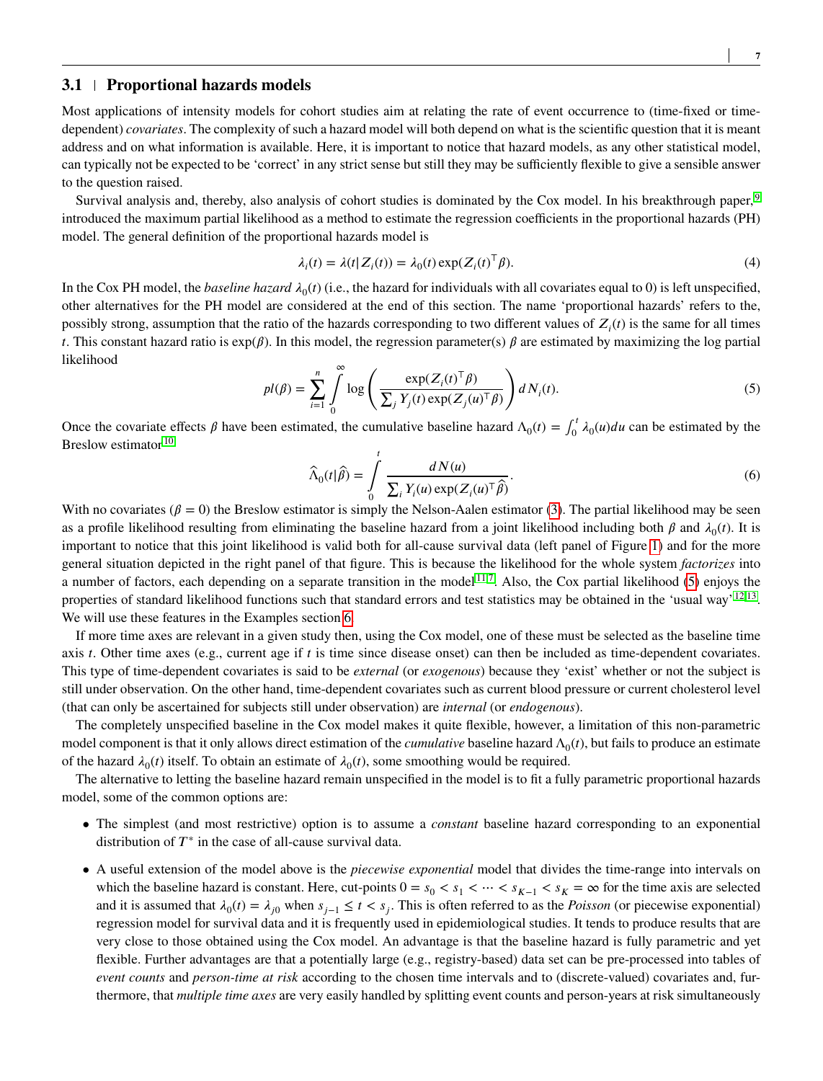### <span id="page-6-1"></span>**3.1 Proportional hazards models**

Most applications of intensity models for cohort studies aim at relating the rate of event occurrence to (time-fixed or timedependent) *covariates*. The complexity of such a hazard model will both depend on what is the scientific question that it is meant address and on what information is available. Here, it is important to notice that hazard models, as any other statistical model, can typically not be expected to be 'correct' in any strict sense but still they may be sufficiently flexible to give a sensible answer to the question raised.

Survival analysis and, thereby, also analysis of cohort studies is dominated by the Cox model. In his breakthrough paper, [9](#page-24-8) introduced the maximum partial likelihood as a method to estimate the regression coefficients in the proportional hazards (PH) model. The general definition of the proportional hazards model is

$$
\lambda_i(t) = \lambda(t|Z_i(t)) = \lambda_0(t) \exp(Z_i(t)^{\top} \beta).
$$
\n(4)

<span id="page-6-0"></span>In the Cox PH model, the *baseline hazard*  $\lambda_0(t)$  (i.e., the hazard for individuals with all covariates equal to 0) is left unspecified, other alternatives for the PH model are considered at the end of this section. The name 'proportional hazards' refers to the, possibly strong, assumption that the ratio of the hazards corresponding to two different values of  $Z_i(t)$  is the same for all times *t*. This constant hazard ratio is  $exp(\beta)$ . In this model, the regression parameter(s)  $\beta$  are estimated by maximizing the log partial likelihood

$$
pl(\beta) = \sum_{i=1}^{n} \int_{0}^{\infty} \log \left( \frac{\exp(Z_i(t)^{\top}\beta)}{\sum_{j} Y_j(t) \exp(Z_j(u)^{\top}\beta)} \right) dN_i(t).
$$
 (5)

Once the covariate effects *β* have been estimated, the cumulative baseline hazard  $Λ_0(t) = \int_0^t$  $\int_0^t \lambda_0(u) du$  can be estimated by the Breslow estimator<sup>[10](#page-24-9)</sup>

$$
\widehat{\Lambda}_0(t|\widehat{\beta}) = \int_0^t \frac{dN(u)}{\sum_i Y_i(u) \exp(Z_i(u)^\top \widehat{\beta})}.
$$
\n(6)

With no covariates ( $\beta = 0$ ) the Breslow estimator is simply the Nelson-Aalen estimator [\(3\)](#page-5-1). The partial likelihood may be seen as a profile likelihood resulting from eliminating the baseline hazard from a joint likelihood including both  $\beta$  and  $\lambda_0(t)$ . It is important to notice that this joint likelihood is valid both for all-cause survival data (left panel of Figure [1\)](#page-2-0) and for the more general situation depicted in the right panel of that figure. This is because the likelihood for the whole system *factorizes* into a number of factors, each depending on a separate transition in the model  $11.7$  $11.7$ . Also, the Cox partial likelihood [\(5\)](#page-6-0) enjoys the properties of standard likelihood functions such that standard errors and test statistics may be obtained in the 'usual way' <sup>[12](#page-24-11)[,13](#page-24-12)</sup>. We will use these features in the Examples section [6.](#page-13-0)

If more time axes are relevant in a given study then, using the Cox model, one of these must be selected as the baseline time axis *t*. Other time axes (e.g., current age if *t* is time since disease onset) can then be included as time-dependent covariates. This type of time-dependent covariates is said to be *external* (or *exogenous*) because they 'exist' whether or not the subject is still under observation. On the other hand, time-dependent covariates such as current blood pressure or current cholesterol level (that can only be ascertained for subjects still under observation) are *internal* (or *endogenous*).

The completely unspecified baseline in the Cox model makes it quite flexible, however, a limitation of this non-parametric model component is that it only allows direct estimation of the *cumulative* baseline hazard  $\Lambda_0(t)$ , but fails to produce an estimate of the hazard  $\lambda_0(t)$  itself. To obtain an estimate of  $\lambda_0(t)$ , some smoothing would be required.

The alternative to letting the baseline hazard remain unspecified in the model is to fit a fully parametric proportional hazards model, some of the common options are:

- The simplest (and most restrictive) option is to assume a *constant* baseline hazard corresponding to an exponential distribution of  $T^*$  in the case of all-cause survival data.
- A useful extension of the model above is the *piecewise exponential* model that divides the time-range into intervals on which the baseline hazard is constant. Here, cut-points  $0 = s_0 < s_1 < \cdots < s_{K-1} < s_K = \infty$  for the time axis are selected and it is assumed that  $\lambda_0(t) = \lambda_{j0}$  when  $s_{j-1} \le t < s_j$ . This is often referred to as the *Poisson* (or piecewise exponential) regression model for survival data and it is frequently used in epidemiological studies. It tends to produce results that are very close to those obtained using the Cox model. An advantage is that the baseline hazard is fully parametric and yet flexible. Further advantages are that a potentially large (e.g., registry-based) data set can be pre-processed into tables of *event counts* and *person-time at risk* according to the chosen time intervals and to (discrete-valued) covariates and, furthermore, that *multiple time axes* are very easily handled by splitting event counts and person-years at risk simultaneously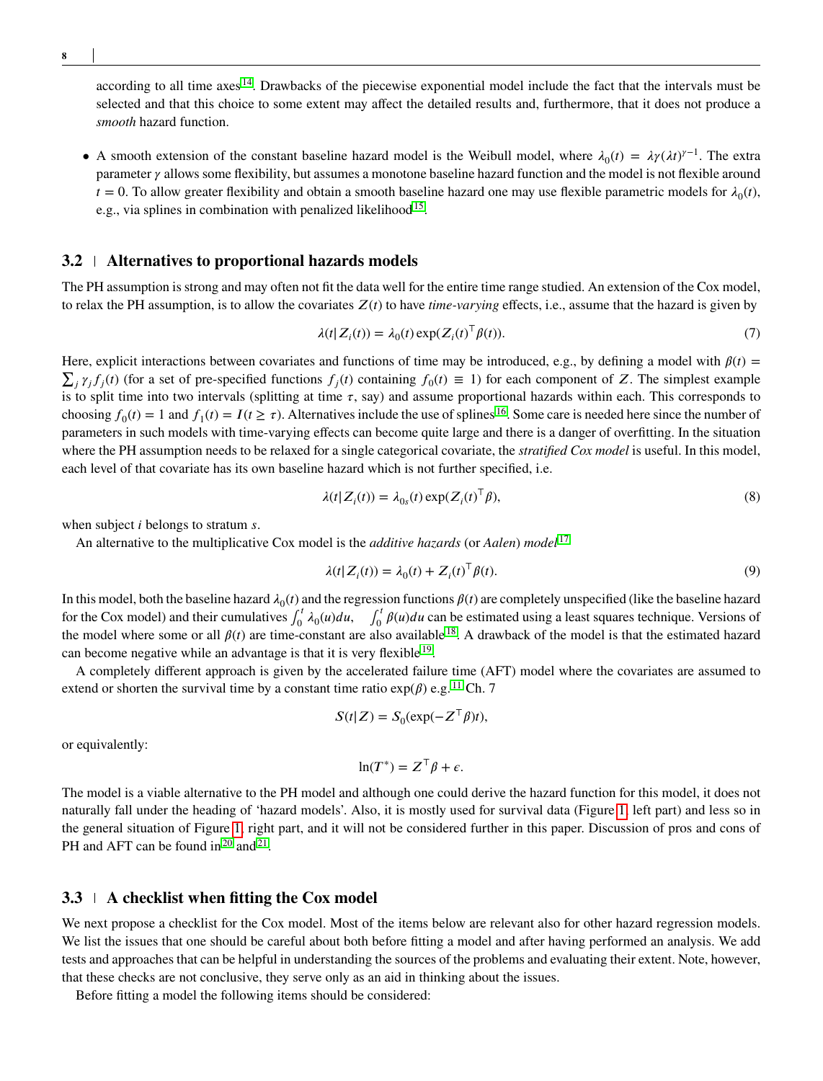according to all time axes  $14$ . Drawbacks of the piecewise exponential model include the fact that the intervals must be selected and that this choice to some extent may affect the detailed results and, furthermore, that it does not produce a *smooth* hazard function.

• A smooth extension of the constant baseline hazard model is the Weibull model, where  $\lambda_0(t) = \lambda \gamma (\lambda t)^{\gamma-1}$ . The extra parameter  $\gamma$  allows some flexibility, but assumes a monotone baseline hazard function and the model is not flexible around  $t = 0$ . To allow greater flexibility and obtain a smooth baseline hazard one may use flexible parametric models for  $\lambda_0(t)$ , e.g., via splines in combination with penalized likelihood<sup>[15](#page-24-14)</sup>.

#### **3.2 Alternatives to proportional hazards models**

The PH assumption is strong and may often not fit the data well for the entire time range studied. An extension of the Cox model, to relax the PH assumption, is to allow the covariates  $Z(t)$  to have *time-varying* effects, i.e., assume that the hazard is given by

<span id="page-7-0"></span>
$$
\lambda(t|Z_i(t)) = \lambda_0(t) \exp(Z_i(t)^{\top} \beta(t)).
$$
\n(7)

Here, explicit interactions between covariates and functions of time may be introduced, e.g., by defining a model with  $\beta(t)$  =  $\sum_j \gamma_j f_j(t)$  (for a set of pre-specified functions  $f_j(t)$  containing  $f_0(t) \equiv 1$ ) for each component of *Z*. The simplest example is to split time into two intervals (splitting at time  $\tau$ , say) and assume proportional hazards within each. This corresponds to choosing  $f_0(t) = 1$  and  $f_1(t) = I(t \ge \tau)$ . Alternatives include the use of splines <sup>[16](#page-24-15)</sup>. Some care is needed here since the number of parameters in such models with time-varying effects can become quite large and there is a danger of overfitting. In the situation where the PH assumption needs to be relaxed for a single categorical covariate, the *stratified Cox model* is useful. In this model, each level of that covariate has its own baseline hazard which is not further specified, i.e.

$$
\lambda(t|Z_i(t)) = \lambda_{0s}(t) \exp(Z_i(t)^{\top} \beta),\tag{8}
$$

when subject *i* belongs to stratum *s*.

An alternative to the multiplicative Cox model is the *additive hazards* (or *Aalen*) *model* [17](#page-24-16)

$$
\lambda(t|Z_i(t)) = \lambda_0(t) + Z_i(t)^{\top} \beta(t). \tag{9}
$$

In this model, both the baseline hazard  $\lambda_0(t)$  and the regression functions  $\beta(t)$  are completely unspecified (like the baseline hazard for the Cox model) and their cumulatives  $\int_0^t$  $\int_0^t \lambda_0(u) du$ ,  $\int_0^t$  $\int_0^1 \beta(u) du$  can be estimated using a least squares technique. Versions of the model where some or all  $\beta(t)$  are time-constant are also available <sup>[18](#page-24-17)</sup>. A drawback of the model is that the estimated hazard can become negative while an advantage is that it is very flexible <sup>[19](#page-24-18)</sup>.

A completely different approach is given by the accelerated failure time (AFT) model where the covariates are assumed to extend or shorten the survival time by a constant time ratio  $exp(\beta)$  e.g. <sup>[11](#page-24-10)</sup> Ch. 7

$$
S(t|Z) = S_0(\exp(-Z^\top \beta)t),
$$

or equivalently:

 $\ln(T^*) = Z^{\top} \beta + \epsilon.$ 

The model is a viable alternative to the PH model and although one could derive the hazard function for this model, it does not naturally fall under the heading of 'hazard models'. Also, it is mostly used for survival data (Figure [1,](#page-2-0) left part) and less so in the general situation of Figure [1,](#page-2-0) right part, and it will not be considered further in this paper. Discussion of pros and cons of PH and AFT can be found in  $2^0$  and  $2^1$ .

#### **3.3 A checklist when fitting the Cox model**

We next propose a checklist for the Cox model. Most of the items below are relevant also for other hazard regression models. We list the issues that one should be careful about both before fitting a model and after having performed an analysis. We add tests and approaches that can be helpful in understanding the sources of the problems and evaluating their extent. Note, however, that these checks are not conclusive, they serve only as an aid in thinking about the issues.

Before fitting a model the following items should be considered: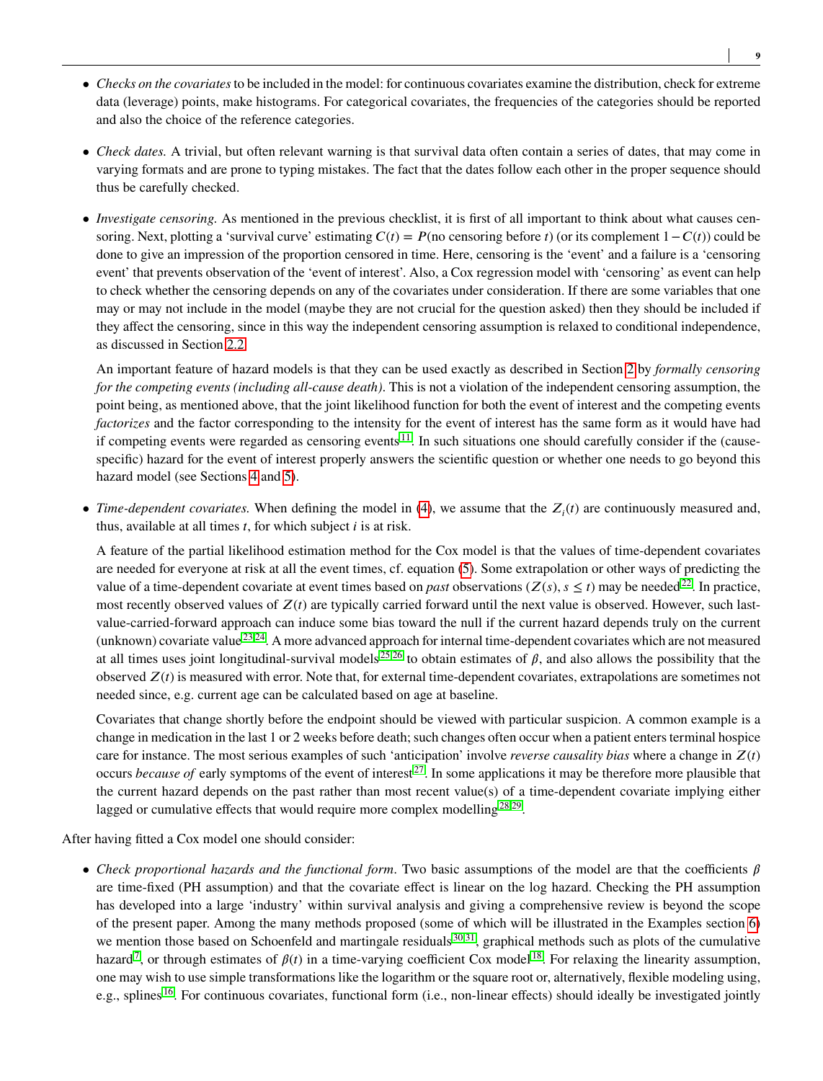- *Checks on the covariates*to be included in the model: for continuous covariates examine the distribution, check for extreme data (leverage) points, make histograms. For categorical covariates, the frequencies of the categories should be reported and also the choice of the reference categories.
- *Check dates.* A trivial, but often relevant warning is that survival data often contain a series of dates, that may come in varying formats and are prone to typing mistakes. The fact that the dates follow each other in the proper sequence should thus be carefully checked.
- *Investigate censoring*. As mentioned in the previous checklist, it is first of all important to think about what causes censoring. Next, plotting a 'survival curve' estimating  $C(t) = P$ (no censoring before *t*) (or its complement  $1 - C(t)$ ) could be done to give an impression of the proportion censored in time. Here, censoring is the 'event' and a failure is a 'censoring event' that prevents observation of the 'event of interest'. Also, a Cox regression model with 'censoring' as event can help to check whether the censoring depends on any of the covariates under consideration. If there are some variables that one may or may not include in the model (maybe they are not crucial for the question asked) then they should be included if they affect the censoring, since in this way the independent censoring assumption is relaxed to conditional independence, as discussed in Section [2.2.](#page-2-1)

An important feature of hazard models is that they can be used exactly as described in Section [2](#page-1-0) by *formally censoring for the competing events (including all-cause death)*. This is not a violation of the independent censoring assumption, the point being, as mentioned above, that the joint likelihood function for both the event of interest and the competing events *factorizes* and the factor corresponding to the intensity for the event of interest has the same form as it would have had if competing events were regarded as censoring events  $11$ . In such situations one should carefully consider if the (causespecific) hazard for the event of interest properly answers the scientific question or whether one needs to go beyond this hazard model (see Sections [4](#page-10-0) and [5\)](#page-12-0).

• *Time-dependent covariates*. When defining the model in [\(4\)](#page-6-1), we assume that the  $Z_i(t)$  are continuously measured and, thus, available at all times *t*, for which subject *i* is at risk.

A feature of the partial likelihood estimation method for the Cox model is that the values of time-dependent covariates are needed for everyone at risk at all the event times, cf. equation [\(5\)](#page-6-0). Some extrapolation or other ways of predicting the value of a time-dependent covariate at event times based on *past* observations ( $Z(s)$ ,  $s \le t$ ) may be needed<sup>[22](#page-25-0)</sup>. In practice, most recently observed values of  $Z(t)$  are typically carried forward until the next value is observed. However, such lastvalue-carried-forward approach can induce some bias toward the null if the current hazard depends truly on the current (unknown) covariate value  $^{23,24}$  $^{23,24}$  $^{23,24}$  $^{23,24}$ . A more advanced approach for internal time-dependent covariates which are not measured at all times uses joint longitudinal-survival models<sup>[25](#page-25-3)[,26](#page-25-4)</sup> to obtain estimates of  $\beta$ , and also allows the possibility that the observed  $Z(t)$  is measured with error. Note that, for external time-dependent covariates, extrapolations are sometimes not needed since, e.g. current age can be calculated based on age at baseline.

Covariates that change shortly before the endpoint should be viewed with particular suspicion. A common example is a change in medication in the last 1 or 2 weeks before death; such changes often occur when a patient enters terminal hospice care for instance. The most serious examples of such 'anticipation' involve *reverse causality bias* where a change in  $Z(t)$ occurs *because of* early symptoms of the event of interest [27](#page-25-5). In some applications it may be therefore more plausible that the current hazard depends on the past rather than most recent value(s) of a time-dependent covariate implying either lagged or cumulative effects that would require more complex modelling<sup>[28,](#page-25-6)[29](#page-25-7)</sup>.

After having fitted a Cox model one should consider:

• *Check proportional hazards and the functional form.* Two basic assumptions of the model are that the coefficients  $\beta$ are time-fixed (PH assumption) and that the covariate effect is linear on the log hazard. Checking the PH assumption has developed into a large 'industry' within survival analysis and giving a comprehensive review is beyond the scope of the present paper. Among the many methods proposed (some of which will be illustrated in the Examples section [6\)](#page-13-0) we mention those based on Schoenfeld and martingale residuals  $30,31$  $30,31$ , graphical methods such as plots of the cumulative hazard<sup>[7](#page-24-6)</sup>, or through estimates of  $\beta(t)$  in a time-varying coefficient Cox model<sup>[18](#page-24-17)</sup>. For relaxing the linearity assumption, one may wish to use simple transformations like the logarithm or the square root or, alternatively, flexible modeling using, e.g., splines <sup>[16](#page-24-15)</sup>. For continuous covariates, functional form (i.e., non-linear effects) should ideally be investigated jointly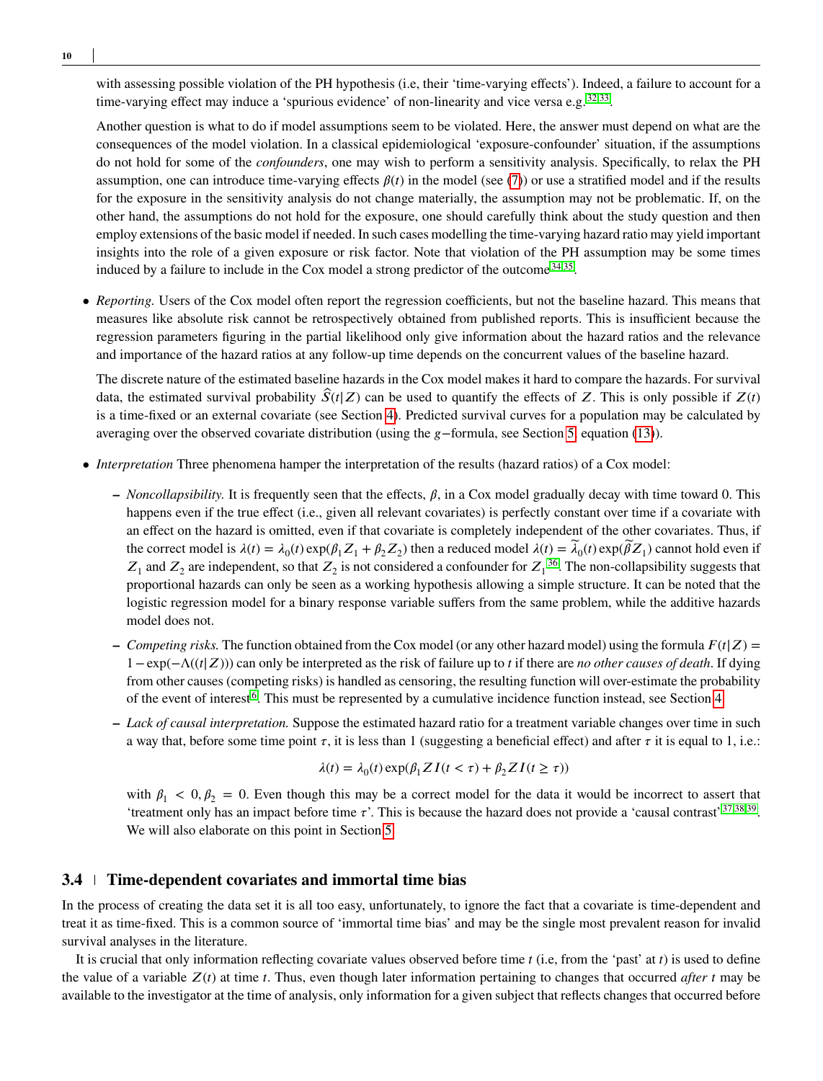with assessing possible violation of the PH hypothesis (i.e, their 'time-varying effects'). Indeed, a failure to account for a time-varying effect may induce a 'spurious evidence' of non-linearity and vice versa e.g.<sup>[32,](#page-25-10)[33](#page-25-11)</sup>.

Another question is what to do if model assumptions seem to be violated. Here, the answer must depend on what are the consequences of the model violation. In a classical epidemiological 'exposure-confounder' situation, if the assumptions do not hold for some of the *confounders*, one may wish to perform a sensitivity analysis. Specifically, to relax the PH assumption, one can introduce time-varying effects  $\beta(t)$  in the model (see [\(7\)](#page-7-0)) or use a stratified model and if the results for the exposure in the sensitivity analysis do not change materially, the assumption may not be problematic. If, on the other hand, the assumptions do not hold for the exposure, one should carefully think about the study question and then employ extensions of the basic model if needed. In such cases modelling the time-varying hazard ratio may yield important insights into the role of a given exposure or risk factor. Note that violation of the PH assumption may be some times induced by a failure to include in the Cox model a strong predictor of the outcome  $34,35$  $34,35$ .

• *Reporting.* Users of the Cox model often report the regression coefficients, but not the baseline hazard. This means that measures like absolute risk cannot be retrospectively obtained from published reports. This is insufficient because the regression parameters figuring in the partial likelihood only give information about the hazard ratios and the relevance and importance of the hazard ratios at any follow-up time depends on the concurrent values of the baseline hazard.

The discrete nature of the estimated baseline hazards in the Cox model makes it hard to compare the hazards. For survival data, the estimated survival probability  $\hat{S}(t|Z)$  can be used to quantify the effects of *Z*. This is only possible if  $Z(t)$ is a time-fixed or an external covariate (see Section [4\)](#page-10-0). Predicted survival curves for a population may be calculated by averaging over the observed covariate distribution (using the *𝑔*−formula, see Section [5,](#page-12-0) equation [\(13\)](#page-12-2)).

- *Interpretation* Three phenomena hamper the interpretation of the results (hazard ratios) of a Cox model:
	- $\sim$  *Noncollapsibility*. It is frequently seen that the effects,  $\beta$ , in a Cox model gradually decay with time toward 0. This happens even if the true effect (i.e., given all relevant covariates) is perfectly constant over time if a covariate with an effect on the hazard is omitted, even if that covariate is completely independent of the other covariates. Thus, if the correct model is  $\lambda(t) = \lambda_0(t) \exp(\beta_1 Z_1 + \beta_2 Z_2)$  then a reduced model  $\lambda(t) = \tilde{\lambda}_0(t) \exp(\tilde{\beta} Z_1)$  cannot hold even if  $Z_1$  and  $Z_2$  are independent, so that  $Z_2$  is not considered a confounder for  $Z_1^{36}$  $Z_1^{36}$  $Z_1^{36}$ . The non-collapsibility suggests that proportional hazards can only be seen as a working hypothesis allowing a simple structure. It can be noted that the logistic regression model for a binary response variable suffers from the same problem, while the additive hazards model does not.
	- $\sim$  *Competing risks.* The function obtained from the Cox model (or any other hazard model) using the formula  $F(t|Z)$  = 1 − exp(−Λ((*𝑡*|*𝑍*))) can only be interpreted as the risk of failure up to *𝑡* if there are *no other causes of death*. If dying from other causes (competing risks) is handled as censoring, the resulting function will over-estimate the probability of the event of interest<sup>[6](#page-24-5)</sup>. This must be represented by a cumulative incidence function instead, see Section [4.](#page-10-0)
	- **–** *Lack of causal interpretation.* Suppose the estimated hazard ratio for a treatment variable changes over time in such a way that, before some time point  $\tau$ , it is less than 1 (suggesting a beneficial effect) and after  $\tau$  it is equal to 1, i.e.:

$$
\lambda(t) = \lambda_0(t) \exp(\beta_1 Z I(t < \tau) + \beta_2 Z I(t \ge \tau))
$$

with  $\beta_1 < 0, \beta_2 = 0$ . Even though this may be a correct model for the data it would be incorrect to assert that 'treatment only has an impact before time  $\tau$ '. This is because the hazard does not provide a 'causal contrast'  $37,38,39$  $37,38,39$  $37,38,39$ . We will also elaborate on this point in Section [5.](#page-12-0)

## <span id="page-9-0"></span>**3.4 Time-dependent covariates and immortal time bias**

In the process of creating the data set it is all too easy, unfortunately, to ignore the fact that a covariate is time-dependent and treat it as time-fixed. This is a common source of 'immortal time bias' and may be the single most prevalent reason for invalid survival analyses in the literature.

It is crucial that only information reflecting covariate values observed before time *t* (i.e, from the 'past' at *t*) is used to define the value of a variable  $Z(t)$  at time *t*. Thus, even though later information pertaining to changes that occurred *after t* may be available to the investigator at the time of analysis, only information for a given subject that reflects changes that occurred before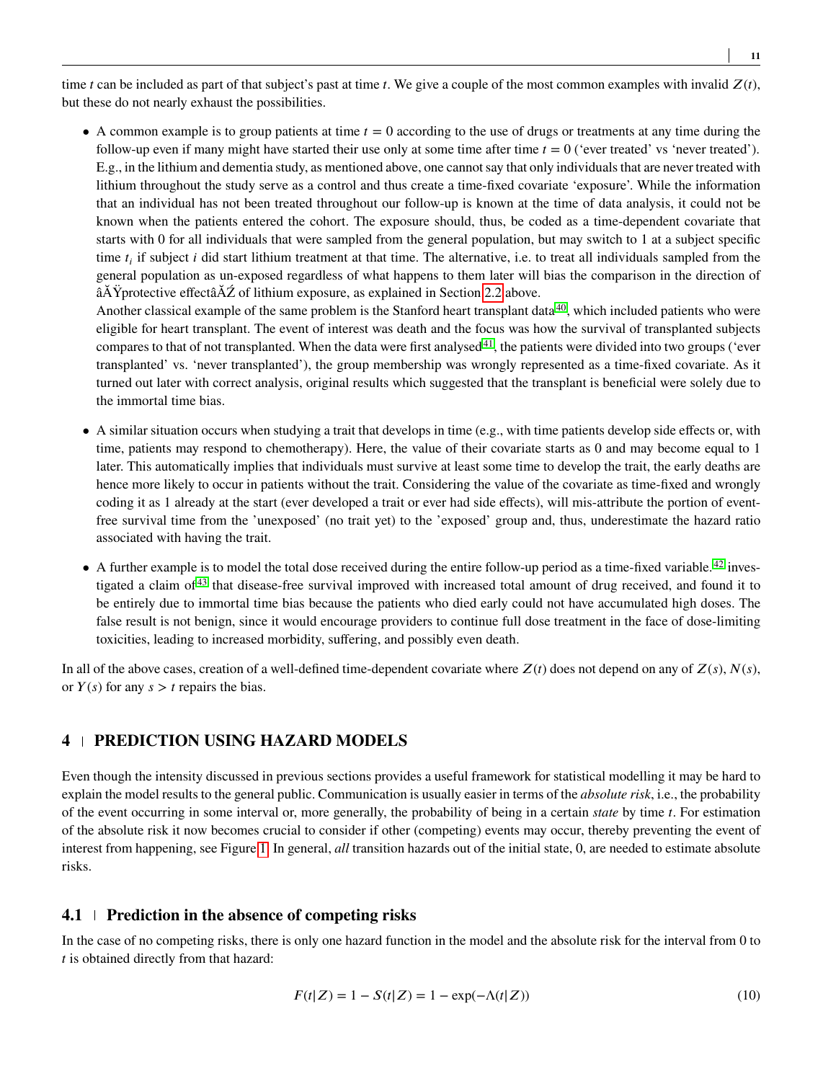time *t* can be included as part of that subject's past at time *t*. We give a couple of the most common examples with invalid  $Z(t)$ , but these do not nearly exhaust the possibilities.

• A common example is to group patients at time  $t = 0$  according to the use of drugs or treatments at any time during the follow-up even if many might have started their use only at some time after time  $t = 0$  ('ever treated' vs 'never treated'). E.g., in the lithium and dementia study, as mentioned above, one cannot say that only individuals that are never treated with lithium throughout the study serve as a control and thus create a time-fixed covariate 'exposure'. While the information that an individual has not been treated throughout our follow-up is known at the time of data analysis, it could not be known when the patients entered the cohort. The exposure should, thus, be coded as a time-dependent covariate that starts with 0 for all individuals that were sampled from the general population, but may switch to 1 at a subject specific time  $t_i$  if subject *i* did start lithium treatment at that time. The alternative, i.e. to treat all individuals sampled from the general population as un-exposed regardless of what happens to them later will bias the comparison in the direction of  $\tilde{A} \tilde{A} \tilde{Y}$ protective effect $\tilde{A} \tilde{Z}$  of lithium exposure, as explained in Section [2.2](#page-2-1) above.

Another classical example of the same problem is the Stanford heart transplant data $40$ , which included patients who were eligible for heart transplant. The event of interest was death and the focus was how the survival of transplanted subjects compares to that of not transplanted. When the data were first analysed<sup>[41](#page-25-19)</sup>, the patients were divided into two groups ('ever transplanted' vs. 'never transplanted'), the group membership was wrongly represented as a time-fixed covariate. As it turned out later with correct analysis, original results which suggested that the transplant is beneficial were solely due to the immortal time bias.

- A similar situation occurs when studying a trait that develops in time (e.g., with time patients develop side effects or, with time, patients may respond to chemotherapy). Here, the value of their covariate starts as 0 and may become equal to 1 later. This automatically implies that individuals must survive at least some time to develop the trait, the early deaths are hence more likely to occur in patients without the trait. Considering the value of the covariate as time-fixed and wrongly coding it as 1 already at the start (ever developed a trait or ever had side effects), will mis-attribute the portion of eventfree survival time from the 'unexposed' (no trait yet) to the 'exposed' group and, thus, underestimate the hazard ratio associated with having the trait.
- A further example is to model the total dose received during the entire follow-up period as a time-fixed variable.  $42$  investigated a claim of [43](#page-26-0) that disease-free survival improved with increased total amount of drug received, and found it to be entirely due to immortal time bias because the patients who died early could not have accumulated high doses. The false result is not benign, since it would encourage providers to continue full dose treatment in the face of dose-limiting toxicities, leading to increased morbidity, suffering, and possibly even death.

In all of the above cases, creation of a well-defined time-dependent covariate where  $Z(t)$  does not depend on any of  $Z(s)$ ,  $N(s)$ , or  $Y(s)$  for any  $s > t$  repairs the bias.

# <span id="page-10-0"></span>**4 PREDICTION USING HAZARD MODELS**

Even though the intensity discussed in previous sections provides a useful framework for statistical modelling it may be hard to explain the model results to the general public. Communication is usually easier in terms of the *absolute risk*, i.e., the probability of the event occurring in some interval or, more generally, the probability of being in a certain *state* by time *𝑡*. For estimation of the absolute risk it now becomes crucial to consider if other (competing) events may occur, thereby preventing the event of interest from happening, see Figure [1.](#page-2-0) In general, *all* transition hazards out of the initial state, 0, are needed to estimate absolute risks.

## <span id="page-10-1"></span>**4.1 Prediction in the absence of competing risks**

<span id="page-10-2"></span>In the case of no competing risks, there is only one hazard function in the model and the absolute risk for the interval from 0 to *t* is obtained directly from that hazard:

$$
F(t|Z) = 1 - S(t|Z) = 1 - \exp(-\Lambda(t|Z))
$$
\n(10)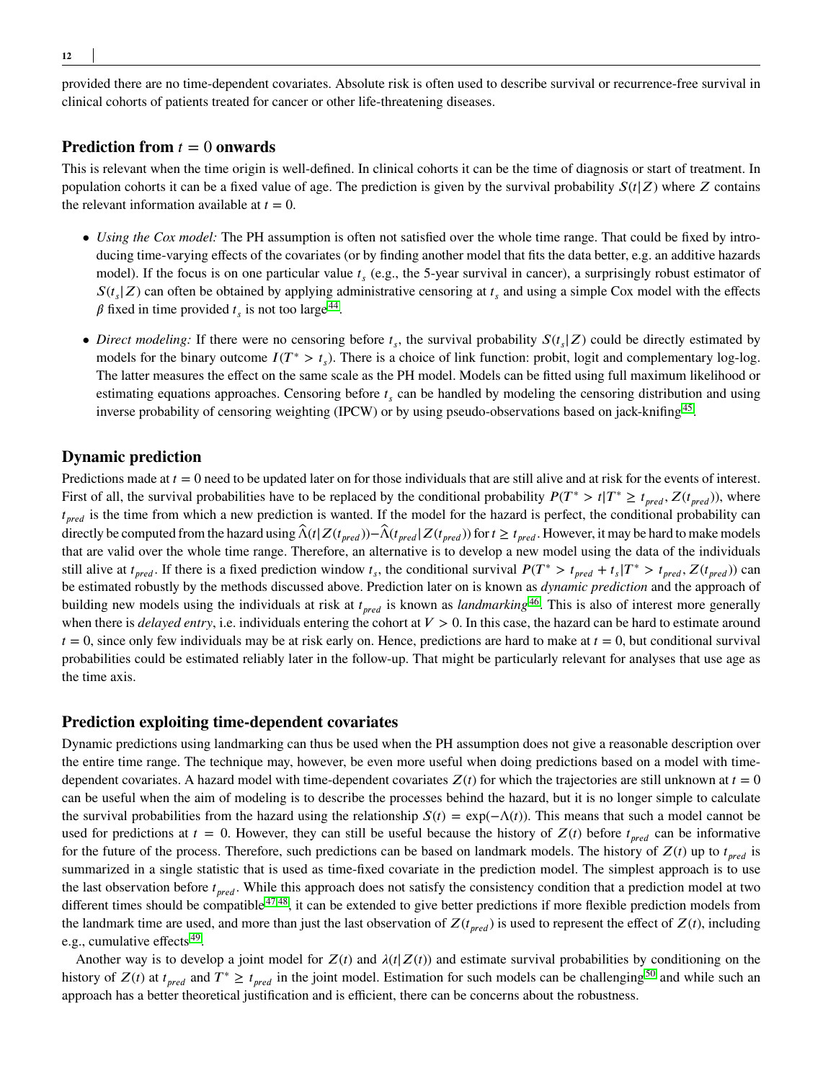provided there are no time-dependent covariates. Absolute risk is often used to describe survival or recurrence-free survival in clinical cohorts of patients treated for cancer or other life-threatening diseases.

#### **Prediction from**  $t = 0$  **onwards**

This is relevant when the time origin is well-defined. In clinical cohorts it can be the time of diagnosis or start of treatment. In population cohorts it can be a fixed value of age. The prediction is given by the survival probability  $S(t|Z)$  where  $Z$  contains the relevant information available at  $t = 0$ .

- *Using the Cox model:* The PH assumption is often not satisfied over the whole time range. That could be fixed by introducing time-varying effects of the covariates (or by finding another model that fits the data better, e.g. an additive hazards model). If the focus is on one particular value  $t_s$  (e.g., the 5-year survival in cancer), a surprisingly robust estimator of  $S(t_s|Z)$  can often be obtained by applying administrative censoring at  $t_s$  and using a simple Cox model with the effects  $\beta$  fixed in time provided  $t_s$  is not too large<sup>[44](#page-26-1)</sup>.
- *Direct modeling:* If there were no censoring before  $t_s$ , the survival probability  $S(t_s|Z)$  could be directly estimated by models for the binary outcome  $I(T^* > t_s)$ . There is a choice of link function: probit, logit and complementary log-log. The latter measures the effect on the same scale as the PH model. Models can be fitted using full maximum likelihood or estimating equations approaches. Censoring before  $t_s$  can be handled by modeling the censoring distribution and using inverse probability of censoring weighting (IPCW) or by using pseudo-observations based on jack-knifing<sup>[45](#page-26-2)</sup>.

## **Dynamic prediction**

Predictions made at  $t = 0$  need to be updated later on for those individuals that are still alive and at risk for the events of interest. First of all, the survival probabilities have to be replaced by the conditional probability  $P(T^* > t | T^* \ge t_{pred}, Z(t_{pred}))$ , where *t*<sub>pred</sub> is the time from which a new prediction is wanted. If the model for the hazard is perfect, the conditional probability can directly be computed from the hazard using  $\hat{\Lambda}(t|Z(t_{pred})) - \hat{\Lambda}(t_{pred} | Z(t_{pred}))$  for  $t \ge t_{pred}$ . However, it may be hard to make models that are valid over the whole time range. Therefore, an alternative is to develop a new model using the data of the individuals still alive at  $t_{pred}$ . If there is a fixed prediction window  $t_s$ , the conditional survival  $P(T^* > t_{pred} + t_s | T^* > t_{pred}, Z(t_{pred}))$  can be estimated robustly by the methods discussed above. Prediction later on is known as *dynamic prediction* and the approach of building new models using the individuals at risk at  $t_{\text{pred}}$  is known as *landmarking*<sup>[46](#page-26-3)</sup>. This is also of interest more generally when there is *delayed entry*, i.e. individuals entering the cohort at  $V > 0$ . In this case, the hazard can be hard to estimate around  $t = 0$ , since only few individuals may be at risk early on. Hence, predictions are hard to make at  $t = 0$ , but conditional survival probabilities could be estimated reliably later in the follow-up. That might be particularly relevant for analyses that use age as the time axis.

#### **Prediction exploiting time-dependent covariates**

Dynamic predictions using landmarking can thus be used when the PH assumption does not give a reasonable description over the entire time range. The technique may, however, be even more useful when doing predictions based on a model with timedependent covariates. A hazard model with time-dependent covariates  $Z(t)$  for which the trajectories are still unknown at  $t = 0$ can be useful when the aim of modeling is to describe the processes behind the hazard, but it is no longer simple to calculate the survival probabilities from the hazard using the relationship  $S(t) = \exp(-\Lambda(t))$ . This means that such a model cannot be used for predictions at  $t = 0$ . However, they can still be useful because the history of  $Z(t)$  before  $t_{\text{pred}}$  can be informative for the future of the process. Therefore, such predictions can be based on landmark models. The history of  $Z(t)$  up to  $t_{pred}$  is summarized in a single statistic that is used as time-fixed covariate in the prediction model. The simplest approach is to use the last observation before  $t_{pred}$ . While this approach does not satisfy the consistency condition that a prediction model at two different times should be compatible <sup>[47](#page-26-4)[,48](#page-26-5)</sup>, it can be extended to give better predictions if more flexible prediction models from the landmark time are used, and more than just the last observation of  $Z(t_{\text{pred}})$  is used to represent the effect of  $Z(t)$ , including e.g., cumulative effects<sup>[49](#page-26-6)</sup>.

Another way is to develop a joint model for  $Z(t)$  and  $\lambda(t|Z(t))$  and estimate survival probabilities by conditioning on the history of  $Z(t)$  at  $t_{pred}$  and  $T^* \geq t_{pred}$  in the joint model. Estimation for such models can be challenging<sup>[50](#page-26-7)</sup> and while such an approach has a better theoretical justification and is efficient, there can be concerns about the robustness.

**12**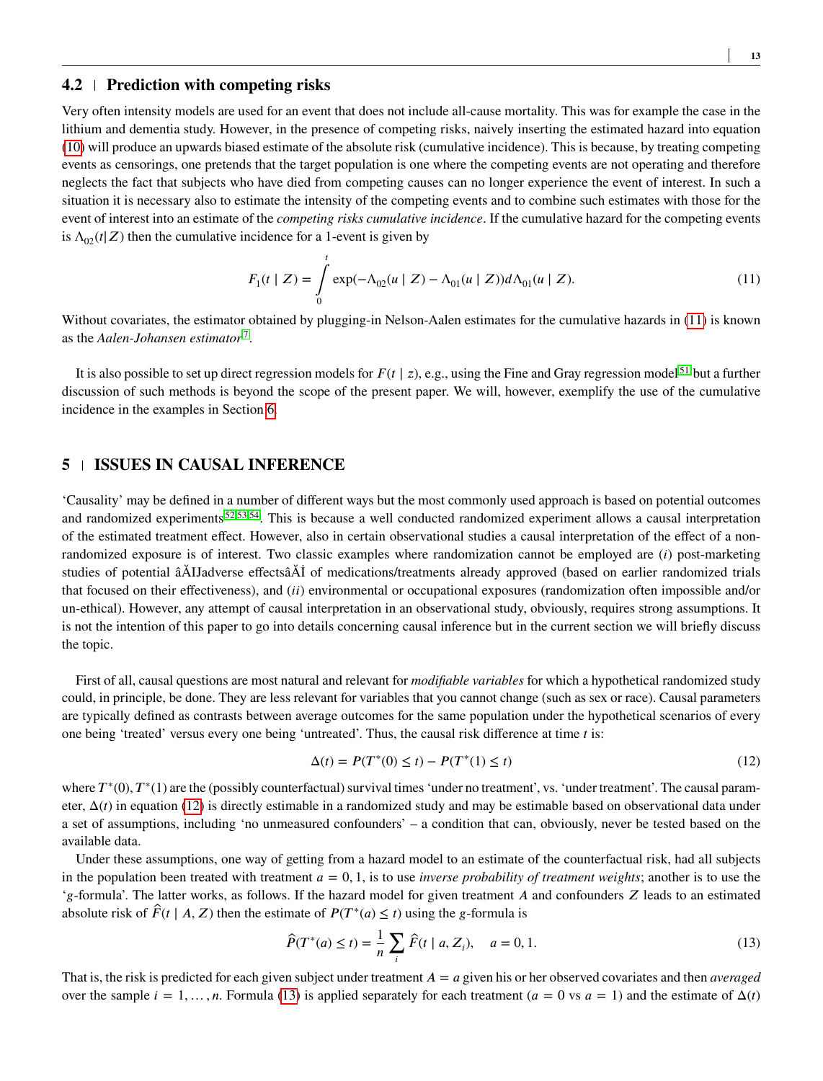#### <span id="page-12-1"></span>**4.2 Prediction with competing risks**

Very often intensity models are used for an event that does not include all-cause mortality. This was for example the case in the lithium and dementia study. However, in the presence of competing risks, naively inserting the estimated hazard into equation [\(10\)](#page-10-2) will produce an upwards biased estimate of the absolute risk (cumulative incidence). This is because, by treating competing events as censorings, one pretends that the target population is one where the competing events are not operating and therefore neglects the fact that subjects who have died from competing causes can no longer experience the event of interest. In such a situation it is necessary also to estimate the intensity of the competing events and to combine such estimates with those for the event of interest into an estimate of the *competing risks cumulative incidence*. If the cumulative hazard for the competing events is  $\Lambda_{02}(t|Z)$  then the cumulative incidence for a 1-event is given by

<span id="page-12-3"></span>
$$
F_1(t | Z) = \int_0^t \exp(-\Lambda_{02}(u | Z) - \Lambda_{01}(u | Z)) d\Lambda_{01}(u | Z).
$$
 (11)

Without covariates, the estimator obtained by plugging-in Nelson-Aalen estimates for the cumulative hazards in [\(11\)](#page-12-3) is known as the *Aalen-Johansen estimator* [7](#page-24-6) .

It is also possible to set up direct regression models for  $F(t | z)$ , e.g., using the Fine and Gray regression model<sup>[51](#page-26-8)</sup> but a further discussion of such methods is beyond the scope of the present paper. We will, however, exemplify the use of the cumulative incidence in the examples in Section [6.](#page-13-0)

# <span id="page-12-0"></span>**5 ISSUES IN CAUSAL INFERENCE**

'Causality' may be defined in a number of different ways but the most commonly used approach is based on potential outcomes and randomized experiments <sup>[52,](#page-26-9)[53](#page-26-10)[,54](#page-26-11)</sup>. This is because a well conducted randomized experiment allows a causal interpretation of the estimated treatment effect. However, also in certain observational studies a causal interpretation of the effect of a nonrandomized exposure is of interest. Two classic examples where randomization cannot be employed are (*i*) post-marketing studies of potential âĂIJadverse effectsâĂİ of medications/treatments already approved (based on earlier randomized trials that focused on their effectiveness), and (*ii*) environmental or occupational exposures (randomization often impossible and/or un-ethical). However, any attempt of causal interpretation in an observational study, obviously, requires strong assumptions. It is not the intention of this paper to go into details concerning causal inference but in the current section we will briefly discuss the topic.

First of all, causal questions are most natural and relevant for *modifiable variables* for which a hypothetical randomized study could, in principle, be done. They are less relevant for variables that you cannot change (such as sex or race). Causal parameters are typically defined as contrasts between average outcomes for the same population under the hypothetical scenarios of every one being 'treated' versus every one being 'untreated'. Thus, the causal risk difference at time *t* is:

<span id="page-12-4"></span>
$$
\Delta(t) = P(T^*(0) \le t) - P(T^*(1) \le t)
$$
\n(12)

where  $T^*(0)$ ,  $T^*(1)$  are the (possibly counterfactual) survival times 'under no treatment', vs. 'under treatment'. The causal parameter, Δ(*𝑡*) in equation [\(12\)](#page-12-4) is directly estimable in a randomized study and may be estimable based on observational data under a set of assumptions, including 'no unmeasured confounders' – a condition that can, obviously, never be tested based on the available data.

Under these assumptions, one way of getting from a hazard model to an estimate of the counterfactual risk, had all subjects in the population been treated with treatment  $a = 0, 1$ , is to use *inverse probability of treatment weights*; another is to use the '*g*-formula'. The latter works, as follows. If the hazard model for given treatment *A* and confounders *Z* leads to an estimated absolute risk of  $\hat{F}(t \mid A, Z)$  then the estimate of  $P(T^*(a) \le t)$  using the *g*-formula is

<span id="page-12-2"></span>
$$
\widehat{P}(T^*(a) \le t) = \frac{1}{n} \sum_{i} \widehat{F}(t \mid a, Z_i), \quad a = 0, 1.
$$
\n(13)

That is, the risk is predicted for each given subject under treatment  $A = a$  given his or her observed covariates and then *averaged* over the sample  $i = 1, \ldots, n$ . Formula [\(13\)](#page-12-2) is applied separately for each treatment  $(a = 0 \text{ vs } a = 1)$  and the estimate of  $\Delta(t)$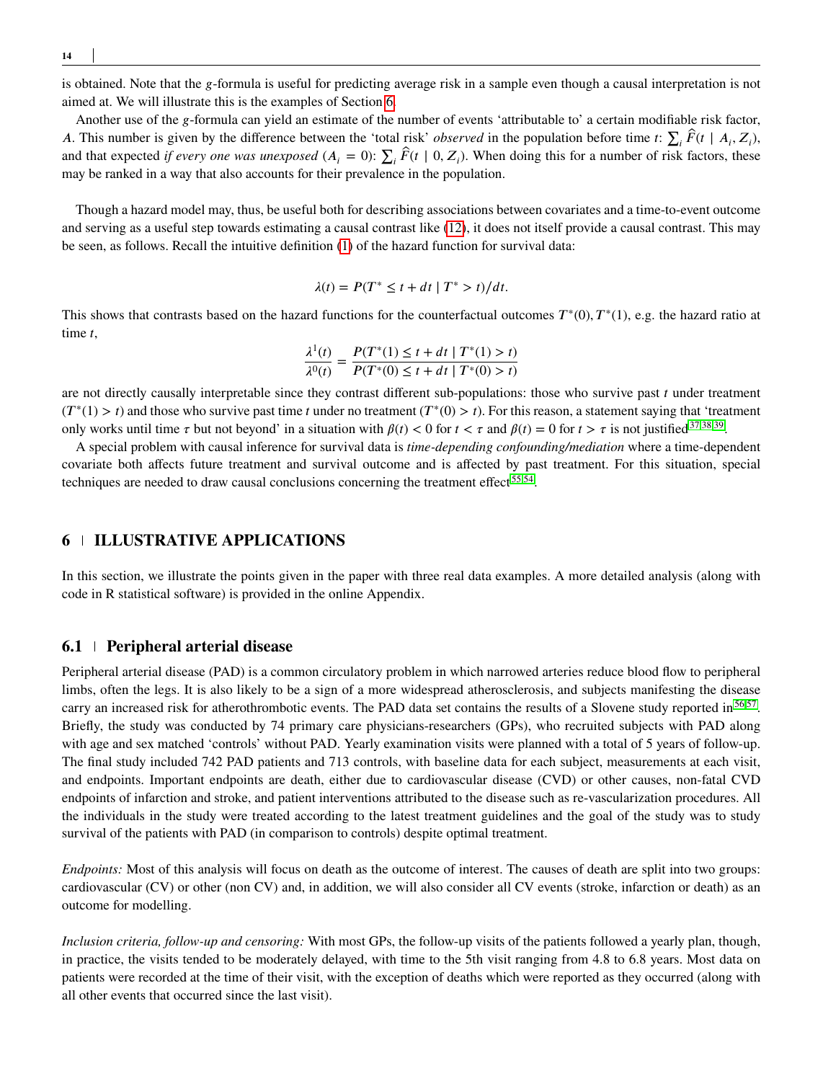**14**

is obtained. Note that the *g*-formula is useful for predicting average risk in a sample even though a causal interpretation is not aimed at. We will illustrate this is the examples of Section [6.](#page-13-0)

Another use of the *g*-formula can yield an estimate of the number of events 'attributable to' a certain modifiable risk factor, *A*. This number is given by the difference between the 'total risk' *observed* in the population before time *t*:  $\sum_i \hat{F}(t | A_i, Z_i)$ , and that expected *if every one was unexposed* ( $A_i = 0$ ):  $\sum_i \hat{F}(t | 0, Z_i)$ . When doing this for a number of risk factors, these may be ranked in a way that also accounts for their prevalence in the population.

Though a hazard model may, thus, be useful both for describing associations between covariates and a time-to-event outcome and serving as a useful step towards estimating a causal contrast like [\(12\)](#page-12-4), it does not itself provide a causal contrast. This may be seen, as follows. Recall the intuitive definition [\(1\)](#page-4-0) of the hazard function for survival data:

$$
\lambda(t) = P(T^* \le t + dt \mid T^* > t) / dt.
$$

This shows that contrasts based on the hazard functions for the counterfactual outcomes  $T^*(0)$ ,  $T^*(1)$ , e.g. the hazard ratio at time t,

$$
\frac{\lambda^1(t)}{\lambda^0(t)} = \frac{P(T^*(1) \le t + dt | T^*(1) > t)}{P(T^*(0) \le t + dt | T^*(0) > t)}
$$

are not directly causally interpretable since they contrast different sub-populations: those who survive past  $t$  under treatment  $(T^*(1) > t)$  and those who survive past time *t* under no treatment  $(T^*(0) > t)$ . For this reason, a statement saying that 'treatment only works until time  $\tau$  but not beyond' in a situation with  $\beta(t) < 0$  for  $t < \tau$  and  $\beta(t) = 0$  for  $t > \tau$  is not justified [37](#page-25-15)[,38,](#page-25-16)[39](#page-25-17).

A special problem with causal inference for survival data is *time-depending confounding/mediation* where a time-dependent covariate both affects future treatment and survival outcome and is affected by past treatment. For this situation, special techniques are needed to draw causal conclusions concerning the treatment effect<sup>[55](#page-26-12)[,54](#page-26-11)</sup>.

# <span id="page-13-0"></span>**6 ILLUSTRATIVE APPLICATIONS**

In this section, we illustrate the points given in the paper with three real data examples. A more detailed analysis (along with code in R statistical software) is provided in the online Appendix.

#### **6.1 Peripheral arterial disease**

Peripheral arterial disease (PAD) is a common circulatory problem in which narrowed arteries reduce blood flow to peripheral limbs, often the legs. It is also likely to be a sign of a more widespread atherosclerosis, and subjects manifesting the disease carry an increased risk for atherothrombotic events. The PAD data set contains the results of a Slovene study reported in [56](#page-26-13)[,57](#page-26-14). Briefly, the study was conducted by 74 primary care physicians-researchers (GPs), who recruited subjects with PAD along with age and sex matched 'controls' without PAD. Yearly examination visits were planned with a total of 5 years of follow-up. The final study included 742 PAD patients and 713 controls, with baseline data for each subject, measurements at each visit, and endpoints. Important endpoints are death, either due to cardiovascular disease (CVD) or other causes, non-fatal CVD endpoints of infarction and stroke, and patient interventions attributed to the disease such as re-vascularization procedures. All the individuals in the study were treated according to the latest treatment guidelines and the goal of the study was to study survival of the patients with PAD (in comparison to controls) despite optimal treatment.

*Endpoints:* Most of this analysis will focus on death as the outcome of interest. The causes of death are split into two groups: cardiovascular (CV) or other (non CV) and, in addition, we will also consider all CV events (stroke, infarction or death) as an outcome for modelling.

*Inclusion criteria, follow-up and censoring:* With most GPs, the follow-up visits of the patients followed a yearly plan, though, in practice, the visits tended to be moderately delayed, with time to the 5th visit ranging from 4.8 to 6.8 years. Most data on patients were recorded at the time of their visit, with the exception of deaths which were reported as they occurred (along with all other events that occurred since the last visit).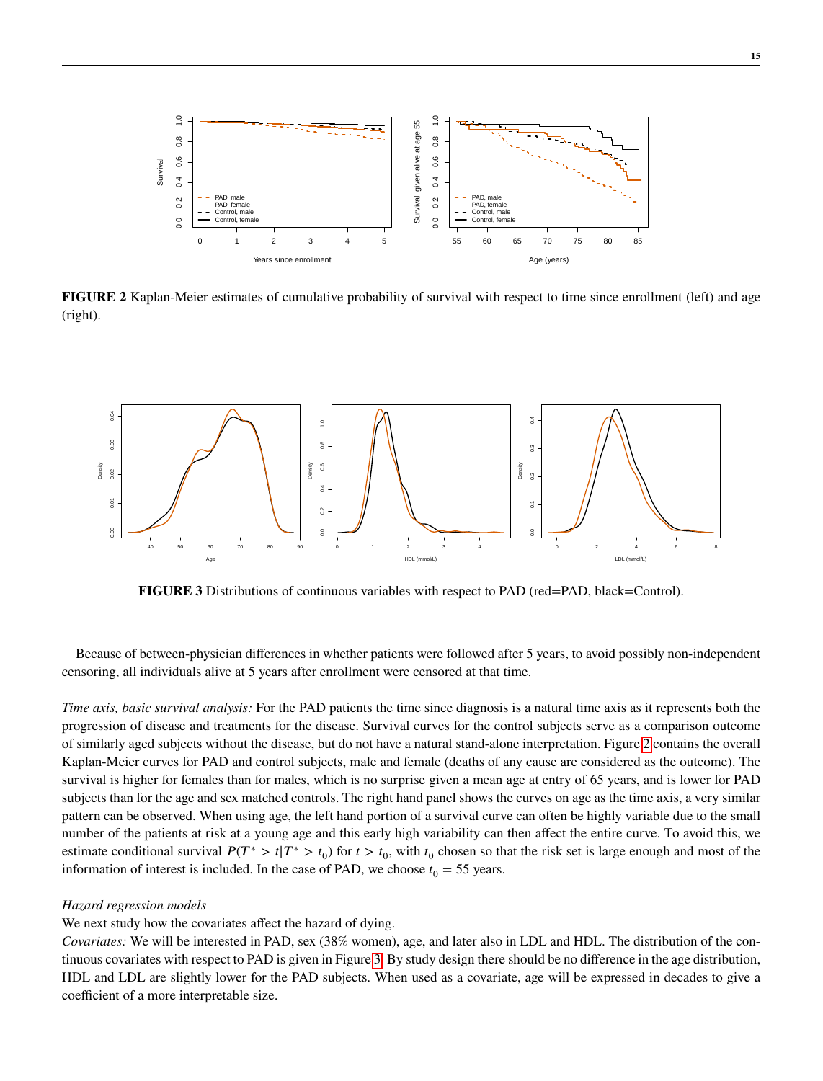<span id="page-14-0"></span>

**FIGURE 2** Kaplan-Meier estimates of cumulative probability of survival with respect to time since enrollment (left) and age (right).

<span id="page-14-1"></span>

**FIGURE 3** Distributions of continuous variables with respect to PAD (red=PAD, black=Control).

Because of between-physician differences in whether patients were followed after 5 years, to avoid possibly non-independent censoring, all individuals alive at 5 years after enrollment were censored at that time.

*Time axis, basic survival analysis:* For the PAD patients the time since diagnosis is a natural time axis as it represents both the progression of disease and treatments for the disease. Survival curves for the control subjects serve as a comparison outcome of similarly aged subjects without the disease, but do not have a natural stand-alone interpretation. Figure [2](#page-14-0) contains the overall Kaplan-Meier curves for PAD and control subjects, male and female (deaths of any cause are considered as the outcome). The survival is higher for females than for males, which is no surprise given a mean age at entry of 65 years, and is lower for PAD subjects than for the age and sex matched controls. The right hand panel shows the curves on age as the time axis, a very similar pattern can be observed. When using age, the left hand portion of a survival curve can often be highly variable due to the small number of the patients at risk at a young age and this early high variability can then affect the entire curve. To avoid this, we estimate conditional survival  $P(T^* > t | T^* > t_0)$  for  $t > t_0$ , with  $t_0$  chosen so that the risk set is large enough and most of the information of interest is included. In the case of PAD, we choose  $t_0 = 55$  years.

#### *Hazard regression models*

#### We next study how the covariates affect the hazard of dying.

*Covariates:* We will be interested in PAD, sex (38% women), age, and later also in LDL and HDL. The distribution of the continuous covariates with respect to PAD is given in Figure [3.](#page-14-1) By study design there should be no difference in the age distribution, HDL and LDL are slightly lower for the PAD subjects. When used as a covariate, age will be expressed in decades to give a coefficient of a more interpretable size.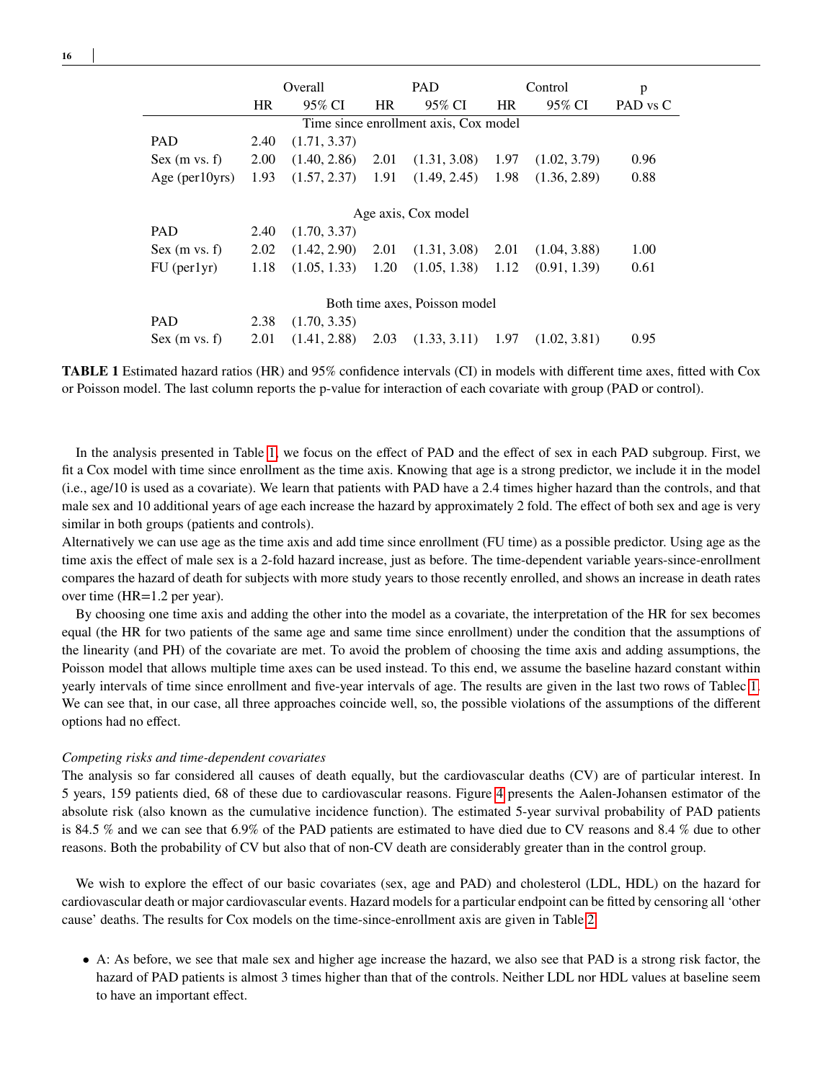<span id="page-15-0"></span>

|                                       | Overall   |              | <b>PAD</b> |                     | Control   |              | p        |  |
|---------------------------------------|-----------|--------------|------------|---------------------|-----------|--------------|----------|--|
|                                       | <b>HR</b> | 95% CI       | <b>HR</b>  | 95% CI              | <b>HR</b> | 95% CI       | PAD vs C |  |
| Time since enrollment axis, Cox model |           |              |            |                     |           |              |          |  |
| <b>PAD</b>                            | 2.40      | (1.71, 3.37) |            |                     |           |              |          |  |
| Sex (m vs. f)                         | 2.00      | (1.40, 2.86) | 2.01       | (1.31, 3.08)        | 1.97      | (1.02, 3.79) | 0.96     |  |
| Age ( $per10yrs$ )                    | 1.93      | (1.57, 2.37) | 1.91       | (1.49, 2.45)        | 1.98      | (1.36, 2.89) | 0.88     |  |
|                                       |           |              |            |                     |           |              |          |  |
|                                       |           |              |            | Age axis, Cox model |           |              |          |  |
| <b>PAD</b>                            | 2.40      | (1.70, 3.37) |            |                     |           |              |          |  |
| Sex (m vs. f)                         | 2.02      | (1.42, 2.90) | 2.01       | (1.31, 3.08)        | 2.01      | (1.04, 3.88) | 1.00     |  |
| $FU$ (per $1yr$ )                     | 1.18      | (1.05, 1.33) | 1.20       | (1.05, 1.38)        | 1.12      | (0.91, 1.39) | 0.61     |  |
|                                       |           |              |            |                     |           |              |          |  |
| Both time axes, Poisson model         |           |              |            |                     |           |              |          |  |
| <b>PAD</b>                            | 2.38      | (1.70, 3.35) |            |                     |           |              |          |  |
| Sex (m vs. f)                         | 2.01      | (1.41, 2.88) | 2.03       | (1.33, 3.11)        | 1.97      | (1.02, 3.81) | 0.95     |  |

**TABLE 1** Estimated hazard ratios (HR) and 95% confidence intervals (CI) in models with different time axes, fitted with Cox or Poisson model. The last column reports the p-value for interaction of each covariate with group (PAD or control).

In the analysis presented in Table [1,](#page-15-0) we focus on the effect of PAD and the effect of sex in each PAD subgroup. First, we fit a Cox model with time since enrollment as the time axis. Knowing that age is a strong predictor, we include it in the model (i.e., age/10 is used as a covariate). We learn that patients with PAD have a 2.4 times higher hazard than the controls, and that male sex and 10 additional years of age each increase the hazard by approximately 2 fold. The effect of both sex and age is very similar in both groups (patients and controls).

Alternatively we can use age as the time axis and add time since enrollment (FU time) as a possible predictor. Using age as the time axis the effect of male sex is a 2-fold hazard increase, just as before. The time-dependent variable years-since-enrollment compares the hazard of death for subjects with more study years to those recently enrolled, and shows an increase in death rates over time (HR=1.2 per year).

By choosing one time axis and adding the other into the model as a covariate, the interpretation of the HR for sex becomes equal (the HR for two patients of the same age and same time since enrollment) under the condition that the assumptions of the linearity (and PH) of the covariate are met. To avoid the problem of choosing the time axis and adding assumptions, the Poisson model that allows multiple time axes can be used instead. To this end, we assume the baseline hazard constant within yearly intervals of time since enrollment and five-year intervals of age. The results are given in the last two rows of Tablec [1.](#page-15-0) We can see that, in our case, all three approaches coincide well, so, the possible violations of the assumptions of the different options had no effect.

#### *Competing risks and time-dependent covariates*

The analysis so far considered all causes of death equally, but the cardiovascular deaths (CV) are of particular interest. In 5 years, 159 patients died, 68 of these due to cardiovascular reasons. Figure [4](#page-16-0) presents the Aalen-Johansen estimator of the absolute risk (also known as the cumulative incidence function). The estimated 5-year survival probability of PAD patients is 84.5 % and we can see that 6.9% of the PAD patients are estimated to have died due to CV reasons and 8.4 % due to other reasons. Both the probability of CV but also that of non-CV death are considerably greater than in the control group.

We wish to explore the effect of our basic covariates (sex, age and PAD) and cholesterol (LDL, HDL) on the hazard for cardiovascular death or major cardiovascular events. Hazard models for a particular endpoint can be fitted by censoring all 'other cause' deaths. The results for Cox models on the time-since-enrollment axis are given in Table [2.](#page-16-1)

• A: As before, we see that male sex and higher age increase the hazard, we also see that PAD is a strong risk factor, the hazard of PAD patients is almost 3 times higher than that of the controls. Neither LDL nor HDL values at baseline seem to have an important effect.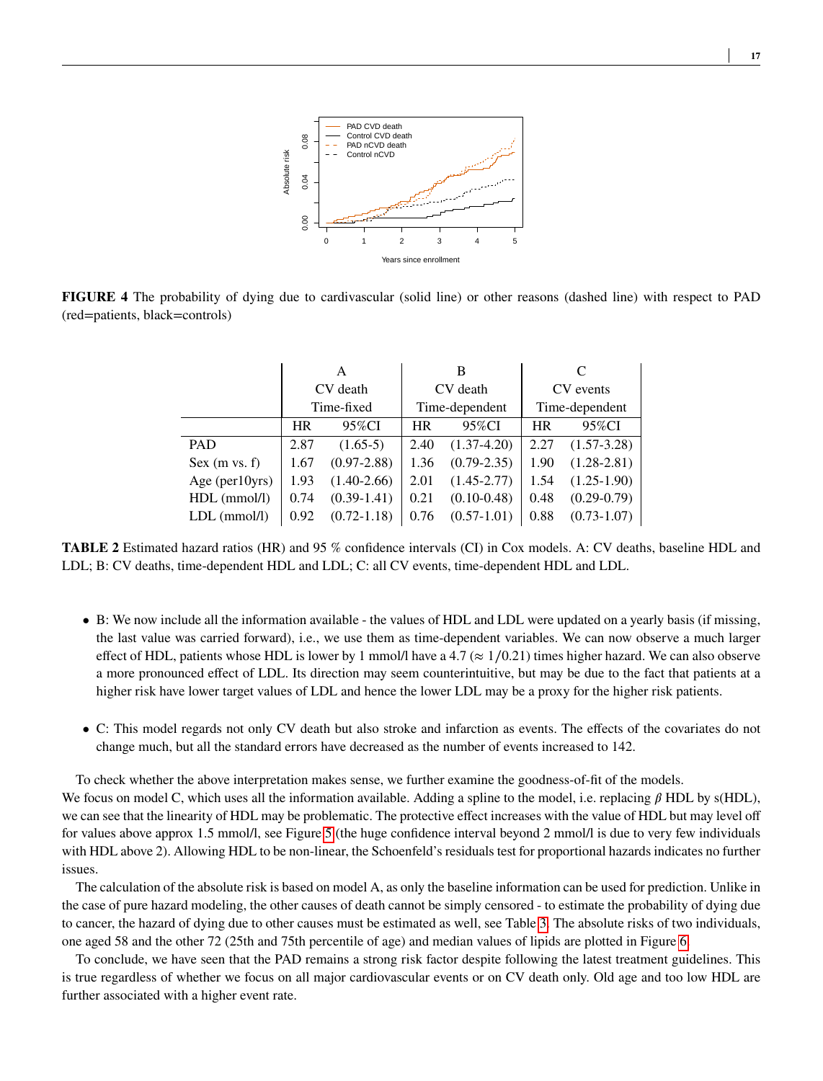<span id="page-16-0"></span>

<span id="page-16-1"></span>**FIGURE 4** The probability of dying due to cardivascular (solid line) or other reasons (dashed line) with respect to PAD (red=patients, black=controls)

|                | A          |                 |           | В               |                |                 |  |
|----------------|------------|-----------------|-----------|-----------------|----------------|-----------------|--|
|                | CV death   |                 | CV death  |                 | CV events      |                 |  |
|                | Time-fixed |                 |           | Time-dependent  | Time-dependent |                 |  |
|                | <b>HR</b>  | 95%CI           | <b>HR</b> | 95%CI           | <b>HR</b>      | 95%CI           |  |
| <b>PAD</b>     | 2.87       | $(1.65-5)$      | 2.40      | $(1.37-4.20)$   | 2.27           | $(1.57 - 3.28)$ |  |
| Sex (m vs. f)  | 1.67       | $(0.97 - 2.88)$ | 1.36      | $(0.79 - 2.35)$ | 1.90           | $(1.28 - 2.81)$ |  |
| Age (per10yrs) | 1.93       | $(1.40-2.66)$   | 2.01      | $(1.45 - 2.77)$ | 1.54           | $(1.25-1.90)$   |  |
| $HDL$ (mmol/l) | 0.74       | $(0.39-1.41)$   | 0.21      | $(0.10 - 0.48)$ | 0.48           | $(0.29 - 0.79)$ |  |
| $LDL$ (mmol/l) | 0.92       | $(0.72 - 1.18)$ | 0.76      | $(0.57-1.01)$   | 0.88           | $(0.73 - 1.07)$ |  |

**TABLE 2** Estimated hazard ratios (HR) and 95 % confidence intervals (CI) in Cox models. A: CV deaths, baseline HDL and LDL; B: CV deaths, time-dependent HDL and LDL; C: all CV events, time-dependent HDL and LDL.

- B: We now include all the information available the values of HDL and LDL were updated on a yearly basis (if missing, the last value was carried forward), i.e., we use them as time-dependent variables. We can now observe a much larger effect of HDL, patients whose HDL is lower by 1 mmol/l have a 4.7 ( $\approx$  1/0.21) times higher hazard. We can also observe a more pronounced effect of LDL. Its direction may seem counterintuitive, but may be due to the fact that patients at a higher risk have lower target values of LDL and hence the lower LDL may be a proxy for the higher risk patients.
- C: This model regards not only CV death but also stroke and infarction as events. The effects of the covariates do not change much, but all the standard errors have decreased as the number of events increased to 142.

To check whether the above interpretation makes sense, we further examine the goodness-of-fit of the models.

We focus on model C, which uses all the information available. Adding a spline to the model, i.e. replacing  $\beta$  HDL by s(HDL), we can see that the linearity of HDL may be problematic. The protective effect increases with the value of HDL but may level off for values above approx 1.5 mmol/l, see Figure [5](#page-17-0) (the huge confidence interval beyond 2 mmol/l is due to very few individuals with HDL above 2). Allowing HDL to be non-linear, the Schoenfeld's residuals test for proportional hazards indicates no further issues.

The calculation of the absolute risk is based on model A, as only the baseline information can be used for prediction. Unlike in the case of pure hazard modeling, the other causes of death cannot be simply censored - to estimate the probability of dying due to cancer, the hazard of dying due to other causes must be estimated as well, see Table [3.](#page-17-1) The absolute risks of two individuals, one aged 58 and the other 72 (25th and 75th percentile of age) and median values of lipids are plotted in Figure [6.](#page-17-2)

To conclude, we have seen that the PAD remains a strong risk factor despite following the latest treatment guidelines. This is true regardless of whether we focus on all major cardiovascular events or on CV death only. Old age and too low HDL are further associated with a higher event rate.

**17**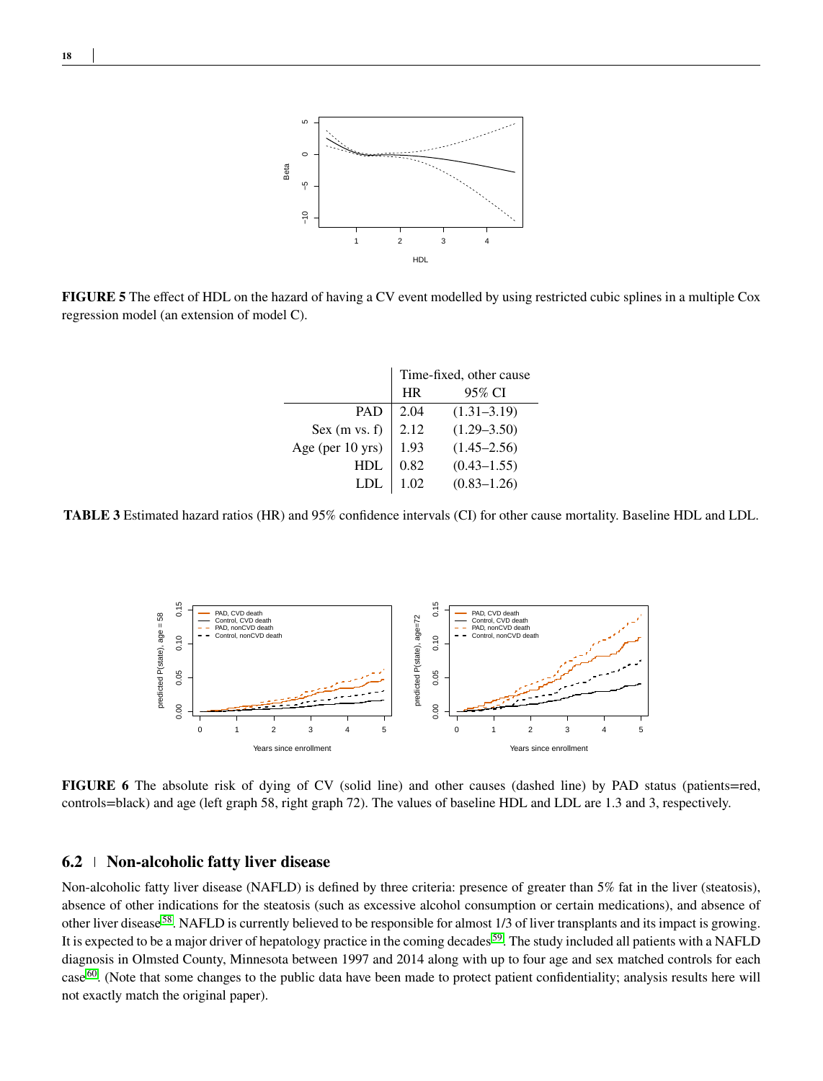<span id="page-17-0"></span>

<span id="page-17-1"></span>**FIGURE 5** The effect of HDL on the hazard of having a CV event modelled by using restricted cubic splines in a multiple Cox regression model (an extension of model C).

|                  | Time-fixed, other cause |                 |  |  |
|------------------|-------------------------|-----------------|--|--|
|                  | <b>HR</b>               | 95% CI          |  |  |
| <b>PAD</b>       | 2.04                    | $(1.31 - 3.19)$ |  |  |
| Sex $(m vs. f)$  | 2.12                    | $(1.29 - 3.50)$ |  |  |
| Age (per 10 yrs) | 1.93                    | $(1.45 - 2.56)$ |  |  |
| HDL.             | 0.82                    | $(0.43 - 1.55)$ |  |  |
| LDL              | 1.02                    | $(0.83 - 1.26)$ |  |  |

<span id="page-17-2"></span>**TABLE 3** Estimated hazard ratios (HR) and 95% confidence intervals (CI) for other cause mortality. Baseline HDL and LDL.



**FIGURE 6** The absolute risk of dying of CV (solid line) and other causes (dashed line) by PAD status (patients=red, controls=black) and age (left graph 58, right graph 72). The values of baseline HDL and LDL are 1.3 and 3, respectively.

### **6.2 Non-alcoholic fatty liver disease**

Non-alcoholic fatty liver disease (NAFLD) is defined by three criteria: presence of greater than 5% fat in the liver (steatosis), absence of other indications for the steatosis (such as excessive alcohol consumption or certain medications), and absence of other liver disease [58](#page-26-15). NAFLD is currently believed to be responsible for almost 1/3 of liver transplants and its impact is growing. It is expected to be a major driver of hepatology practice in the coming decades [59](#page-26-16). The study included all patients with a NAFLD diagnosis in Olmsted County, Minnesota between 1997 and 2014 along with up to four age and sex matched controls for each case [60](#page-26-17). (Note that some changes to the public data have been made to protect patient confidentiality; analysis results here will not exactly match the original paper).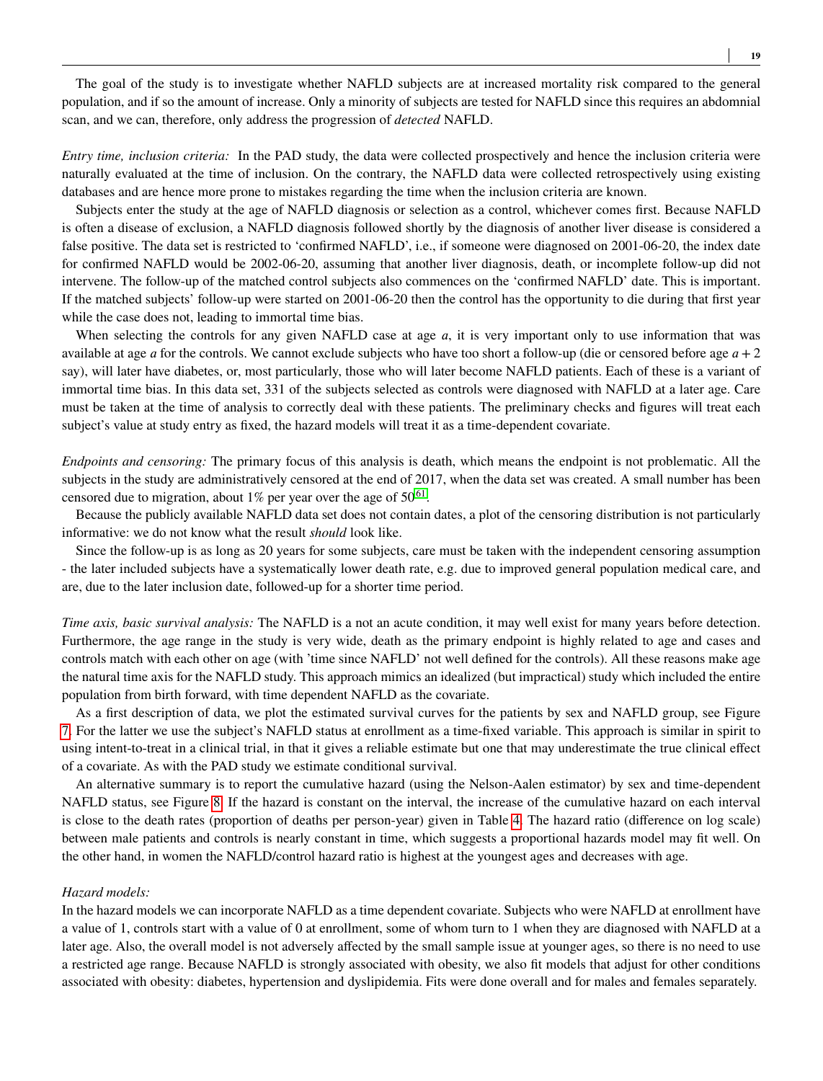The goal of the study is to investigate whether NAFLD subjects are at increased mortality risk compared to the general population, and if so the amount of increase. Only a minority of subjects are tested for NAFLD since this requires an abdomnial scan, and we can, therefore, only address the progression of *detected* NAFLD.

*Entry time, inclusion criteria:* In the PAD study, the data were collected prospectively and hence the inclusion criteria were naturally evaluated at the time of inclusion. On the contrary, the NAFLD data were collected retrospectively using existing databases and are hence more prone to mistakes regarding the time when the inclusion criteria are known.

Subjects enter the study at the age of NAFLD diagnosis or selection as a control, whichever comes first. Because NAFLD is often a disease of exclusion, a NAFLD diagnosis followed shortly by the diagnosis of another liver disease is considered a false positive. The data set is restricted to 'confirmed NAFLD', i.e., if someone were diagnosed on 2001-06-20, the index date for confirmed NAFLD would be 2002-06-20, assuming that another liver diagnosis, death, or incomplete follow-up did not intervene. The follow-up of the matched control subjects also commences on the 'confirmed NAFLD' date. This is important. If the matched subjects' follow-up were started on 2001-06-20 then the control has the opportunity to die during that first year while the case does not, leading to immortal time bias.

When selecting the controls for any given NAFLD case at age *a*, it is very important only to use information that was available at age *a* for the controls. We cannot exclude subjects who have too short a follow-up (die or censored before age  $a + 2$ say), will later have diabetes, or, most particularly, those who will later become NAFLD patients. Each of these is a variant of immortal time bias. In this data set, 331 of the subjects selected as controls were diagnosed with NAFLD at a later age. Care must be taken at the time of analysis to correctly deal with these patients. The preliminary checks and figures will treat each subject's value at study entry as fixed, the hazard models will treat it as a time-dependent covariate.

*Endpoints and censoring:* The primary focus of this analysis is death, which means the endpoint is not problematic. All the subjects in the study are administratively censored at the end of 2017, when the data set was created. A small number has been censored due to migration, about 1% per year over the age of  $50^{61}$  $50^{61}$  $50^{61}$ .

Because the publicly available NAFLD data set does not contain dates, a plot of the censoring distribution is not particularly informative: we do not know what the result *should* look like.

Since the follow-up is as long as 20 years for some subjects, care must be taken with the independent censoring assumption - the later included subjects have a systematically lower death rate, e.g. due to improved general population medical care, and are, due to the later inclusion date, followed-up for a shorter time period.

*Time axis, basic survival analysis:* The NAFLD is a not an acute condition, it may well exist for many years before detection. Furthermore, the age range in the study is very wide, death as the primary endpoint is highly related to age and cases and controls match with each other on age (with 'time since NAFLD' not well defined for the controls). All these reasons make age the natural time axis for the NAFLD study. This approach mimics an idealized (but impractical) study which included the entire population from birth forward, with time dependent NAFLD as the covariate.

As a first description of data, we plot the estimated survival curves for the patients by sex and NAFLD group, see Figure [7.](#page-19-1) For the latter we use the subject's NAFLD status at enrollment as a time-fixed variable. This approach is similar in spirit to using intent-to-treat in a clinical trial, in that it gives a reliable estimate but one that may underestimate the true clinical effect of a covariate. As with the PAD study we estimate conditional survival.

An alternative summary is to report the cumulative hazard (using the Nelson-Aalen estimator) by sex and time-dependent NAFLD status, see Figure [8.](#page-19-0) If the hazard is constant on the interval, the increase of the cumulative hazard on each interval is close to the death rates (proportion of deaths per person-year) given in Table [4.](#page-19-2) The hazard ratio (difference on log scale) between male patients and controls is nearly constant in time, which suggests a proportional hazards model may fit well. On the other hand, in women the NAFLD/control hazard ratio is highest at the youngest ages and decreases with age.

#### *Hazard models:*

In the hazard models we can incorporate NAFLD as a time dependent covariate. Subjects who were NAFLD at enrollment have a value of 1, controls start with a value of 0 at enrollment, some of whom turn to 1 when they are diagnosed with NAFLD at a later age. Also, the overall model is not adversely affected by the small sample issue at younger ages, so there is no need to use a restricted age range. Because NAFLD is strongly associated with obesity, we also fit models that adjust for other conditions associated with obesity: diabetes, hypertension and dyslipidemia. Fits were done overall and for males and females separately.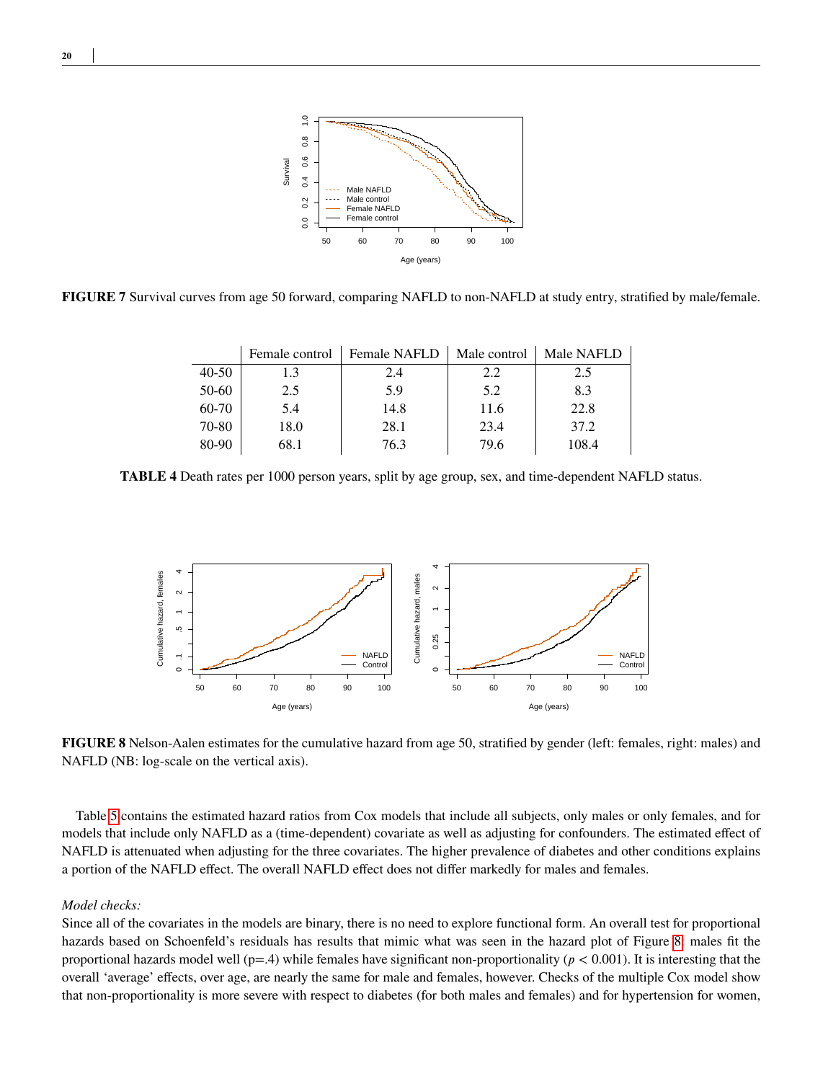

<span id="page-19-2"></span>**FIGURE 7** Survival curves from age 50 forward, comparing NAFLD to non-NAFLD at study entry, stratified by male/female.

|           | Female control | <b>Female NAFLD</b> | Male control | Male NAFLD |
|-----------|----------------|---------------------|--------------|------------|
| $40 - 50$ | 1.3            | 2.4                 | 2.2          | 2.5        |
| 50-60     | 2.5            | 5.9                 | 5.2          | 8.3        |
| 60-70     | 5.4            | 14.8                | 11.6         | 22.8       |
| 70-80     | 18.0           | 28.1                | 23.4         | 37.2       |
| 80-90     | 68.1           | 76.3                | 79.6         | 108.4      |

<span id="page-19-0"></span>**TABLE 4** Death rates per 1000 person years, split by age group, sex, and time-dependent NAFLD status.



**FIGURE 8** Nelson-Aalen estimates for the cumulative hazard from age 50, stratified by gender (left: females, right: males) and NAFLD (NB: log-scale on the vertical axis).

Table [5](#page-20-0) contains the estimated hazard ratios from Cox models that include all subjects, only males or only females, and for models that include only NAFLD as a (time-dependent) covariate as well as adjusting for confounders. The estimated effect of NAFLD is attenuated when adjusting for the three covariates. The higher prevalence of diabetes and other conditions explains a portion of the NAFLD effect. The overall NAFLD effect does not differ markedly for males and females.

#### *Model checks:*

Since all of the covariates in the models are binary, there is no need to explore functional form. An overall test for proportional hazards based on Schoenfeld's residuals has results that mimic what was seen in the hazard plot of Figure [8:](#page-19-0) males fit the proportional hazards model well (p=.4) while females have significant non-proportionality (*𝑝 <* 0*.*001). It is interesting that the overall 'average' effects, over age, are nearly the same for male and females, however. Checks of the multiple Cox model show that non-proportionality is more severe with respect to diabetes (for both males and females) and for hypertension for women,

<span id="page-19-1"></span>**20**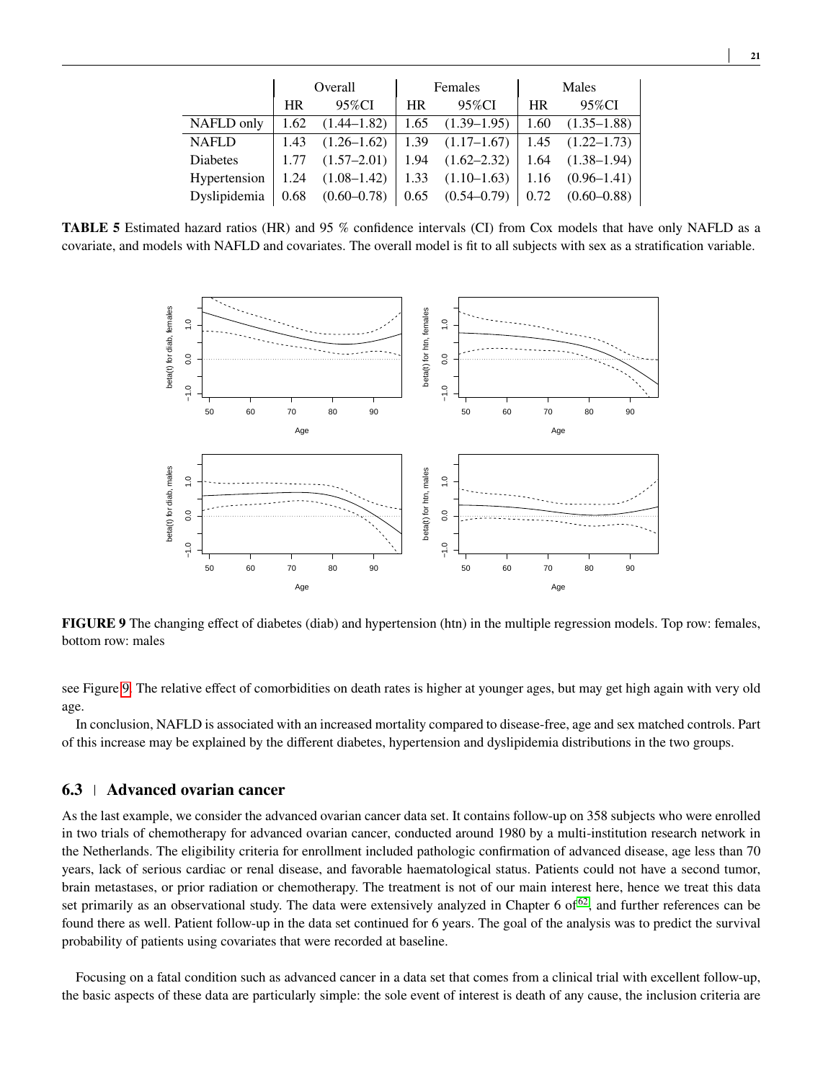<span id="page-20-0"></span>

|                 |             | Overall         |           | Females         | Males     |                 |  |
|-----------------|-------------|-----------------|-----------|-----------------|-----------|-----------------|--|
|                 | 95%CI<br>HR |                 | <b>HR</b> | 95%CI           | <b>HR</b> | 95%CI           |  |
| NAFLD only      | 1.62        | $(1.44 - 1.82)$ | 1.65      | $(1.39-1.95)$   | 1.60      | $(1.35 - 1.88)$ |  |
| <b>NAFLD</b>    | 1.43        | $(1.26 - 1.62)$ | 1.39      | $(1.17-1.67)$   | 1.45      | $(1.22 - 1.73)$ |  |
| <b>Diabetes</b> | 1.77        | $(1.57 - 2.01)$ | 1.94      | $(1.62 - 2.32)$ | 1.64      | $(1.38 - 1.94)$ |  |
| Hypertension    | 1.24        | $(1.08 - 1.42)$ | 1.33      | $(1.10-1.63)$   | 1.16      | $(0.96 - 1.41)$ |  |
| Dyslipidemia    | 0.68        | $(0.60 - 0.78)$ | 0.65      | $(0.54 - 0.79)$ | 0.72      | $(0.60 - 0.88)$ |  |

<span id="page-20-1"></span>**TABLE 5** Estimated hazard ratios (HR) and 95 % confidence intervals (CI) from Cox models that have only NAFLD as a covariate, and models with NAFLD and covariates. The overall model is fit to all subjects with sex as a stratification variable.



**FIGURE 9** The changing effect of diabetes (diab) and hypertension (htn) in the multiple regression models. Top row: females, bottom row: males

see Figure [9.](#page-20-1) The relative effect of comorbidities on death rates is higher at younger ages, but may get high again with very old age.

In conclusion, NAFLD is associated with an increased mortality compared to disease-free, age and sex matched controls. Part of this increase may be explained by the different diabetes, hypertension and dyslipidemia distributions in the two groups.

# **6.3 Advanced ovarian cancer**

As the last example, we consider the advanced ovarian cancer data set. It contains follow-up on 358 subjects who were enrolled in two trials of chemotherapy for advanced ovarian cancer, conducted around 1980 by a multi-institution research network in the Netherlands. The eligibility criteria for enrollment included pathologic confirmation of advanced disease, age less than 70 years, lack of serious cardiac or renal disease, and favorable haematological status. Patients could not have a second tumor, brain metastases, or prior radiation or chemotherapy. The treatment is not of our main interest here, hence we treat this data set primarily as an observational study. The data were extensively analyzed in Chapter 6 of  $62$ , and further references can be found there as well. Patient follow-up in the data set continued for 6 years. The goal of the analysis was to predict the survival probability of patients using covariates that were recorded at baseline.

Focusing on a fatal condition such as advanced cancer in a data set that comes from a clinical trial with excellent follow-up, the basic aspects of these data are particularly simple: the sole event of interest is death of any cause, the inclusion criteria are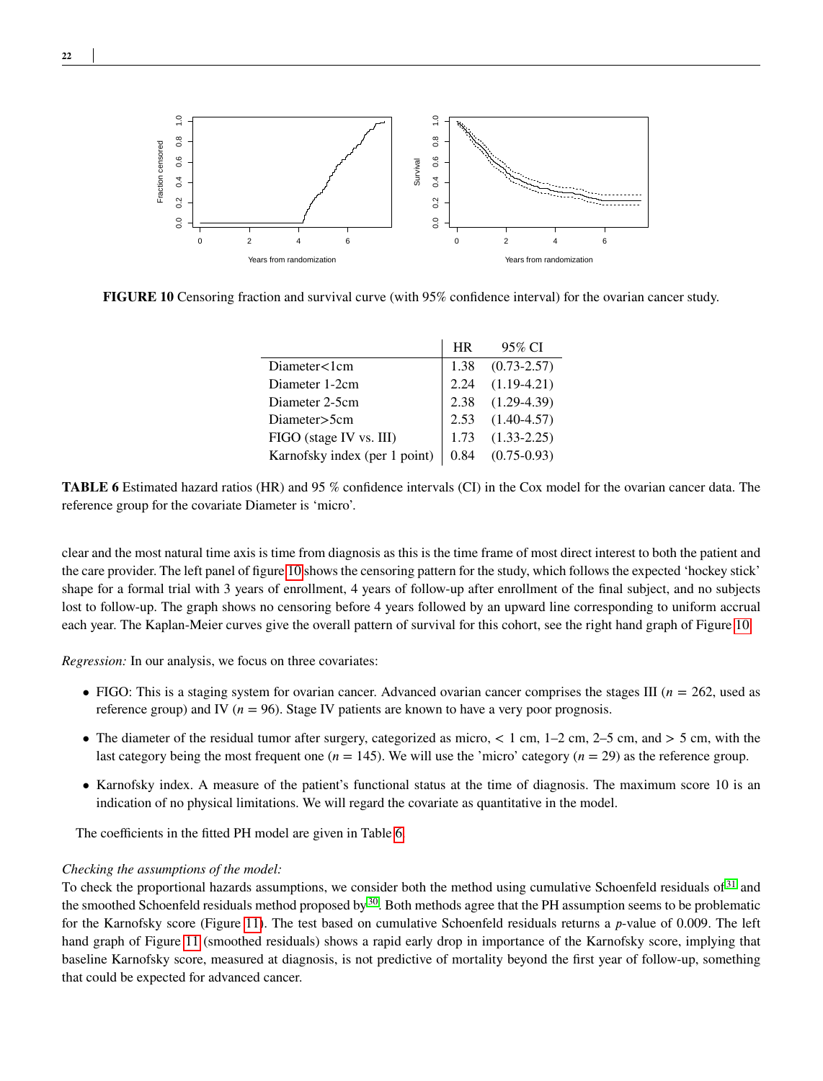<span id="page-21-0"></span>

<span id="page-21-1"></span>**FIGURE 10** Censoring fraction and survival curve (with 95% confidence interval) for the ovarian cancer study.

|                               | HR | 95% CI               |
|-------------------------------|----|----------------------|
| Diameter<1cm                  |    | $1.38$ $(0.73-2.57)$ |
| Diameter 1-2cm                |    | $2.24$ $(1.19-4.21)$ |
| Diameter 2-5cm                |    | $2.38$ $(1.29-4.39)$ |
| Diameter>5cm                  |    | $2.53$ $(1.40-4.57)$ |
| FIGO (stage IV vs. III)       |    | $1.73$ $(1.33-2.25)$ |
| Karnofsky index (per 1 point) |    | $0.84$ $(0.75-0.93)$ |

**TABLE 6** Estimated hazard ratios (HR) and 95 % confidence intervals (CI) in the Cox model for the ovarian cancer data. The reference group for the covariate Diameter is 'micro'.

clear and the most natural time axis is time from diagnosis as this is the time frame of most direct interest to both the patient and the care provider. The left panel of figure [10](#page-21-0) shows the censoring pattern for the study, which follows the expected 'hockey stick' shape for a formal trial with 3 years of enrollment, 4 years of follow-up after enrollment of the final subject, and no subjects lost to follow-up. The graph shows no censoring before 4 years followed by an upward line corresponding to uniform accrual each year. The Kaplan-Meier curves give the overall pattern of survival for this cohort, see the right hand graph of Figure [10.](#page-21-0)

*Regression:* In our analysis, we focus on three covariates:

- FIGO: This is a staging system for ovarian cancer. Advanced ovarian cancer comprises the stages III  $(n = 262)$ , used as reference group) and IV ( $n = 96$ ). Stage IV patients are known to have a very poor prognosis.
- The diameter of the residual tumor after surgery, categorized as micro, *<* 1 cm, 1–2 cm, 2–5 cm, and *>* 5 cm, with the last category being the most frequent one  $(n = 145)$ . We will use the 'micro' category  $(n = 29)$  as the reference group.
- Karnofsky index. A measure of the patient's functional status at the time of diagnosis. The maximum score 10 is an indication of no physical limitations. We will regard the covariate as quantitative in the model.

The coefficients in the fitted PH model are given in Table [6.](#page-21-1)

#### *Checking the assumptions of the model:*

To check the proportional hazards assumptions, we consider both the method using cumulative Schoenfeld residuals of <sup>[31](#page-25-9)</sup> and the smoothed Schoenfeld residuals method proposed by  $30$ . Both methods agree that the PH assumption seems to be problematic for the Karnofsky score (Figure [11\)](#page-22-1). The test based on cumulative Schoenfeld residuals returns a *p*-value of 0.009. The left hand graph of Figure [11](#page-22-1) (smoothed residuals) shows a rapid early drop in importance of the Karnofsky score, implying that baseline Karnofsky score, measured at diagnosis, is not predictive of mortality beyond the first year of follow-up, something that could be expected for advanced cancer.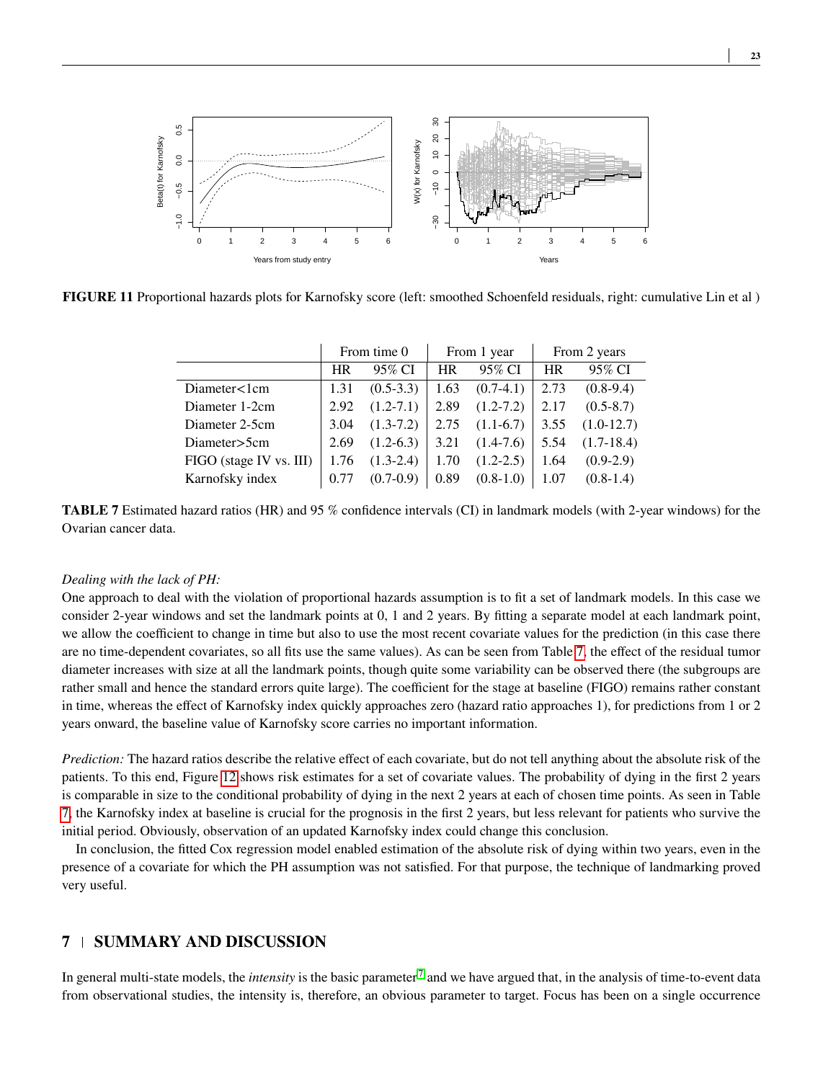<span id="page-22-1"></span>

<span id="page-22-2"></span>**FIGURE 11** Proportional hazards plots for Karnofsky score (left: smoothed Schoenfeld residuals, right: cumulative Lin et al )

|                         | From time 0 |               | From 1 year |               | From 2 years |               |
|-------------------------|-------------|---------------|-------------|---------------|--------------|---------------|
|                         | <b>HR</b>   | 95% CI        | <b>HR</b>   | 95% CI        | <b>HR</b>    | 95% CI        |
| Diameter $\lt 1$ cm     | 1.31        | $(0.5-3.3)$   | 1.63        | $(0.7-4.1)$   | 2.73         | $(0.8-9.4)$   |
| Diameter 1-2cm          | 2.92        | $(1.2 - 7.1)$ | 2.89        | $(1.2 - 7.2)$ | 2.17         | $(0.5 - 8.7)$ |
| Diameter 2-5cm          | 3.04        | $(1.3-7.2)$   | 2.75        | $(1.1-6.7)$   | 3.55         | $(1.0-12.7)$  |
| Diameter>5cm            | 2.69        | $(1.2-6.3)$   | 3.21        | $(1.4-7.6)$   | 5.54         | $(1.7-18.4)$  |
| FIGO (stage IV vs. III) | 1.76        | $(1.3-2.4)$   | 1.70        | $(1.2 - 2.5)$ | 1.64         | $(0.9-2.9)$   |
| Karnofsky index         | 0.77        | $(0.7-0.9)$   | 0.89        | $(0.8-1.0)$   | 1.07         | $(0.8-1.4)$   |

**TABLE 7** Estimated hazard ratios (HR) and 95 % confidence intervals (CI) in landmark models (with 2-year windows) for the Ovarian cancer data.

#### *Dealing with the lack of PH:*

One approach to deal with the violation of proportional hazards assumption is to fit a set of landmark models. In this case we consider 2-year windows and set the landmark points at 0, 1 and 2 years. By fitting a separate model at each landmark point, we allow the coefficient to change in time but also to use the most recent covariate values for the prediction (in this case there are no time-dependent covariates, so all fits use the same values). As can be seen from Table [7,](#page-22-2) the effect of the residual tumor diameter increases with size at all the landmark points, though quite some variability can be observed there (the subgroups are rather small and hence the standard errors quite large). The coefficient for the stage at baseline (FIGO) remains rather constant in time, whereas the effect of Karnofsky index quickly approaches zero (hazard ratio approaches 1), for predictions from 1 or 2 years onward, the baseline value of Karnofsky score carries no important information.

*Prediction:* The hazard ratios describe the relative effect of each covariate, but do not tell anything about the absolute risk of the patients. To this end, Figure [12](#page-23-0) shows risk estimates for a set of covariate values. The probability of dying in the first 2 years is comparable in size to the conditional probability of dying in the next 2 years at each of chosen time points. As seen in Table [7,](#page-22-2) the Karnofsky index at baseline is crucial for the prognosis in the first 2 years, but less relevant for patients who survive the initial period. Obviously, observation of an updated Karnofsky index could change this conclusion.

In conclusion, the fitted Cox regression model enabled estimation of the absolute risk of dying within two years, even in the presence of a covariate for which the PH assumption was not satisfied. For that purpose, the technique of landmarking proved very useful.

# <span id="page-22-0"></span>**7 SUMMARY AND DISCUSSION**

In general multi-state models, the *intensity* is the basic parameter [7](#page-24-6) and we have argued that, in the analysis of time-to-event data from observational studies, the intensity is, therefore, an obvious parameter to target. Focus has been on a single occurrence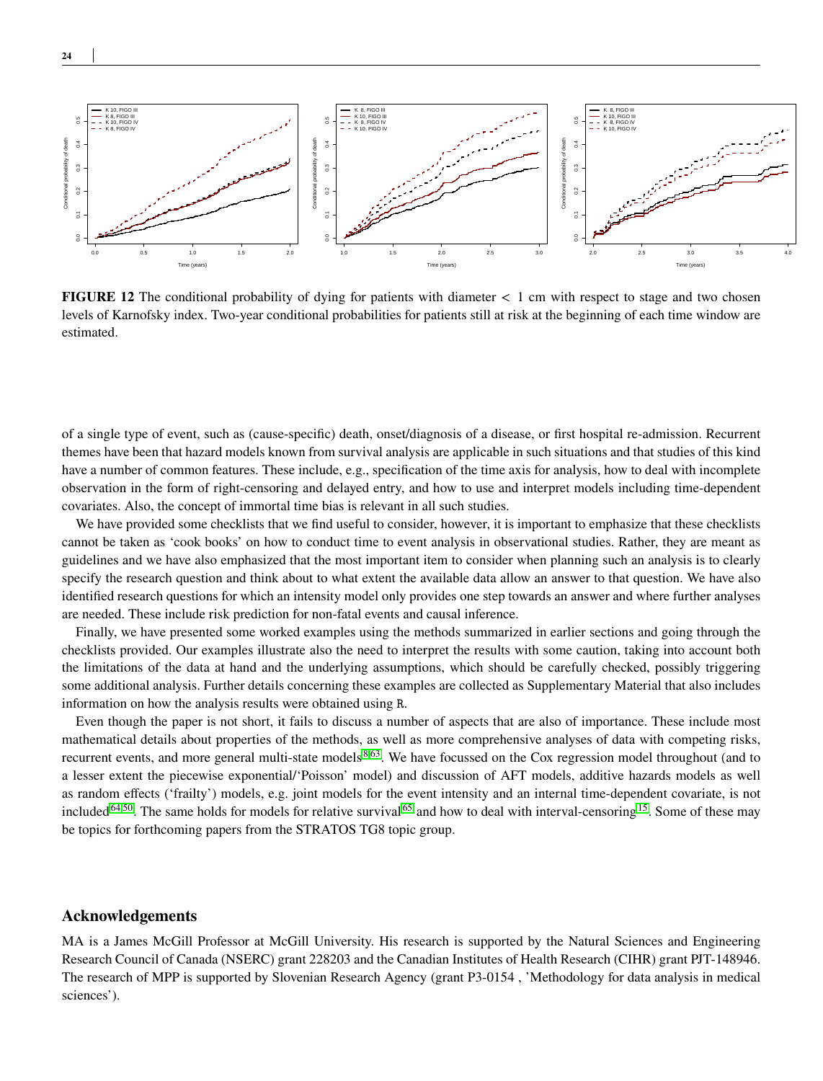

<span id="page-23-0"></span>**24**



**FIGURE 12** The conditional probability of dying for patients with diameter *<* 1 cm with respect to stage and two chosen levels of Karnofsky index. Two-year conditional probabilities for patients still at risk at the beginning of each time window are estimated.

of a single type of event, such as (cause-specific) death, onset/diagnosis of a disease, or first hospital re-admission. Recurrent themes have been that hazard models known from survival analysis are applicable in such situations and that studies of this kind have a number of common features. These include, e.g., specification of the time axis for analysis, how to deal with incomplete observation in the form of right-censoring and delayed entry, and how to use and interpret models including time-dependent covariates. Also, the concept of immortal time bias is relevant in all such studies.

We have provided some checklists that we find useful to consider, however, it is important to emphasize that these checklists cannot be taken as 'cook books' on how to conduct time to event analysis in observational studies. Rather, they are meant as guidelines and we have also emphasized that the most important item to consider when planning such an analysis is to clearly specify the research question and think about to what extent the available data allow an answer to that question. We have also identified research questions for which an intensity model only provides one step towards an answer and where further analyses are needed. These include risk prediction for non-fatal events and causal inference.

Finally, we have presented some worked examples using the methods summarized in earlier sections and going through the checklists provided. Our examples illustrate also the need to interpret the results with some caution, taking into account both the limitations of the data at hand and the underlying assumptions, which should be carefully checked, possibly triggering some additional analysis. Further details concerning these examples are collected as Supplementary Material that also includes information on how the analysis results were obtained using R.

Even though the paper is not short, it fails to discuss a number of aspects that are also of importance. These include most mathematical details about properties of the methods, as well as more comprehensive analyses of data with competing risks, recurrent events, and more general multi-state models<sup>[8](#page-24-7)[,63](#page-26-20)</sup>. We have focussed on the Cox regression model throughout (and to a lesser extent the piecewise exponential/'Poisson' model) and discussion of AFT models, additive hazards models as well as random effects ('frailty') models, e.g. joint models for the event intensity and an internal time-dependent covariate, is not included<sup>[64](#page-26-21)[,50](#page-26-7)</sup>. The same holds for models for relative survival <sup>[65](#page-27-0)</sup> and how to deal with interval-censoring <sup>[15](#page-24-14)</sup>. Some of these may be topics for forthcoming papers from the STRATOS TG8 topic group.

# **Acknowledgements**

MA is a James McGill Professor at McGill University. His research is supported by the Natural Sciences and Engineering Research Council of Canada (NSERC) grant 228203 and the Canadian Institutes of Health Research (CIHR) grant PJT-148946. The research of MPP is supported by Slovenian Research Agency (grant P3-0154 , 'Methodology for data analysis in medical sciences').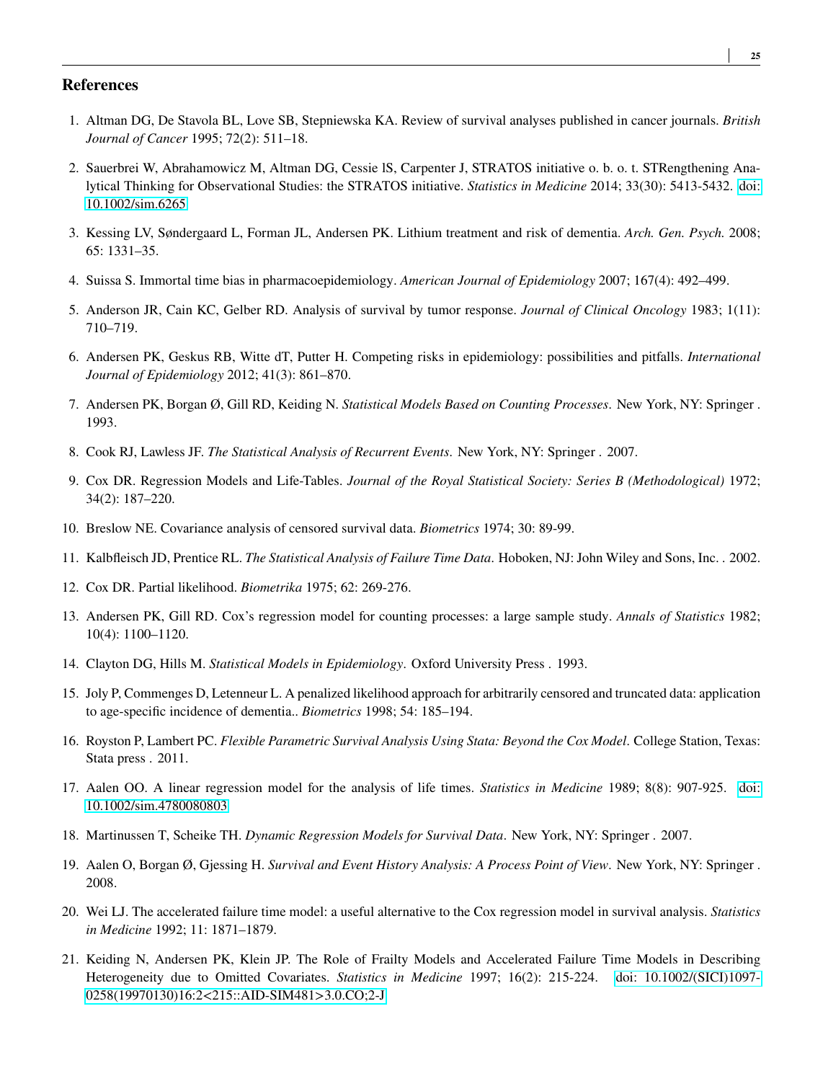## **References**

- <span id="page-24-0"></span>1. Altman DG, De Stavola BL, Love SB, Stepniewska KA. Review of survival analyses published in cancer journals. *British Journal of Cancer* 1995; 72(2): 511–18.
- <span id="page-24-1"></span>2. Sauerbrei W, Abrahamowicz M, Altman DG, Cessie lS, Carpenter J, STRATOS initiative o. b. o. t. STRengthening Analytical Thinking for Observational Studies: the STRATOS initiative. *Statistics in Medicine* 2014; 33(30): 5413-5432. [doi:](http://dx.doi.org/10.1002/sim.6265) [10.1002/sim.6265](http://dx.doi.org/10.1002/sim.6265)
- <span id="page-24-2"></span>3. Kessing LV, Søndergaard L, Forman JL, Andersen PK. Lithium treatment and risk of dementia. *Arch. Gen. Psych.* 2008; 65: 1331–35.
- <span id="page-24-3"></span>4. Suissa S. Immortal time bias in pharmacoepidemiology. *American Journal of Epidemiology* 2007; 167(4): 492–499.
- <span id="page-24-4"></span>5. Anderson JR, Cain KC, Gelber RD. Analysis of survival by tumor response. *Journal of Clinical Oncology* 1983; 1(11): 710–719.
- <span id="page-24-5"></span>6. Andersen PK, Geskus RB, Witte dT, Putter H. Competing risks in epidemiology: possibilities and pitfalls. *International Journal of Epidemiology* 2012; 41(3): 861–870.
- <span id="page-24-6"></span>7. Andersen PK, Borgan Ø, Gill RD, Keiding N. *Statistical Models Based on Counting Processes*. New York, NY: Springer . 1993.
- <span id="page-24-7"></span>8. Cook RJ, Lawless JF. *The Statistical Analysis of Recurrent Events*. New York, NY: Springer . 2007.
- <span id="page-24-8"></span>9. Cox DR. Regression Models and Life-Tables. *Journal of the Royal Statistical Society: Series B (Methodological)* 1972; 34(2): 187–220.
- <span id="page-24-9"></span>10. Breslow NE. Covariance analysis of censored survival data. *Biometrics* 1974; 30: 89-99.
- <span id="page-24-10"></span>11. Kalbfleisch JD, Prentice RL. *The Statistical Analysis of Failure Time Data*. Hoboken, NJ: John Wiley and Sons, Inc. . 2002.
- <span id="page-24-11"></span>12. Cox DR. Partial likelihood. *Biometrika* 1975; 62: 269-276.
- <span id="page-24-12"></span>13. Andersen PK, Gill RD. Cox's regression model for counting processes: a large sample study. *Annals of Statistics* 1982; 10(4): 1100–1120.
- <span id="page-24-13"></span>14. Clayton DG, Hills M. *Statistical Models in Epidemiology*. Oxford University Press . 1993.
- <span id="page-24-14"></span>15. Joly P, Commenges D, Letenneur L. A penalized likelihood approach for arbitrarily censored and truncated data: application to age-specific incidence of dementia.. *Biometrics* 1998; 54: 185–194.
- <span id="page-24-15"></span>16. Royston P, Lambert PC. *Flexible Parametric Survival Analysis Using Stata: Beyond the Cox Model*. College Station, Texas: Stata press . 2011.
- <span id="page-24-16"></span>17. Aalen OO. A linear regression model for the analysis of life times. *Statistics in Medicine* 1989; 8(8): 907-925. [doi:](http://dx.doi.org/10.1002/sim.4780080803) [10.1002/sim.4780080803](http://dx.doi.org/10.1002/sim.4780080803)
- <span id="page-24-17"></span>18. Martinussen T, Scheike TH. *Dynamic Regression Models for Survival Data*. New York, NY: Springer . 2007.
- <span id="page-24-18"></span>19. Aalen O, Borgan Ø, Gjessing H. *Survival and Event History Analysis: A Process Point of View*. New York, NY: Springer . 2008.
- <span id="page-24-19"></span>20. Wei LJ. The accelerated failure time model: a useful alternative to the Cox regression model in survival analysis. *Statistics in Medicine* 1992; 11: 1871–1879.
- <span id="page-24-20"></span>21. Keiding N, Andersen PK, Klein JP. The Role of Frailty Models and Accelerated Failure Time Models in Describing Heterogeneity due to Omitted Covariates. *Statistics in Medicine* 1997; 16(2): 215-224. [doi: 10.1002/\(SICI\)1097-](http://dx.doi.org/ 10.1002/(SICI)1097-0258(19970130)16:2<215::AID-SIM481>3.0.CO;2-J) [0258\(19970130\)16:2<215::AID-SIM481>3.0.CO;2-J](http://dx.doi.org/ 10.1002/(SICI)1097-0258(19970130)16:2<215::AID-SIM481>3.0.CO;2-J)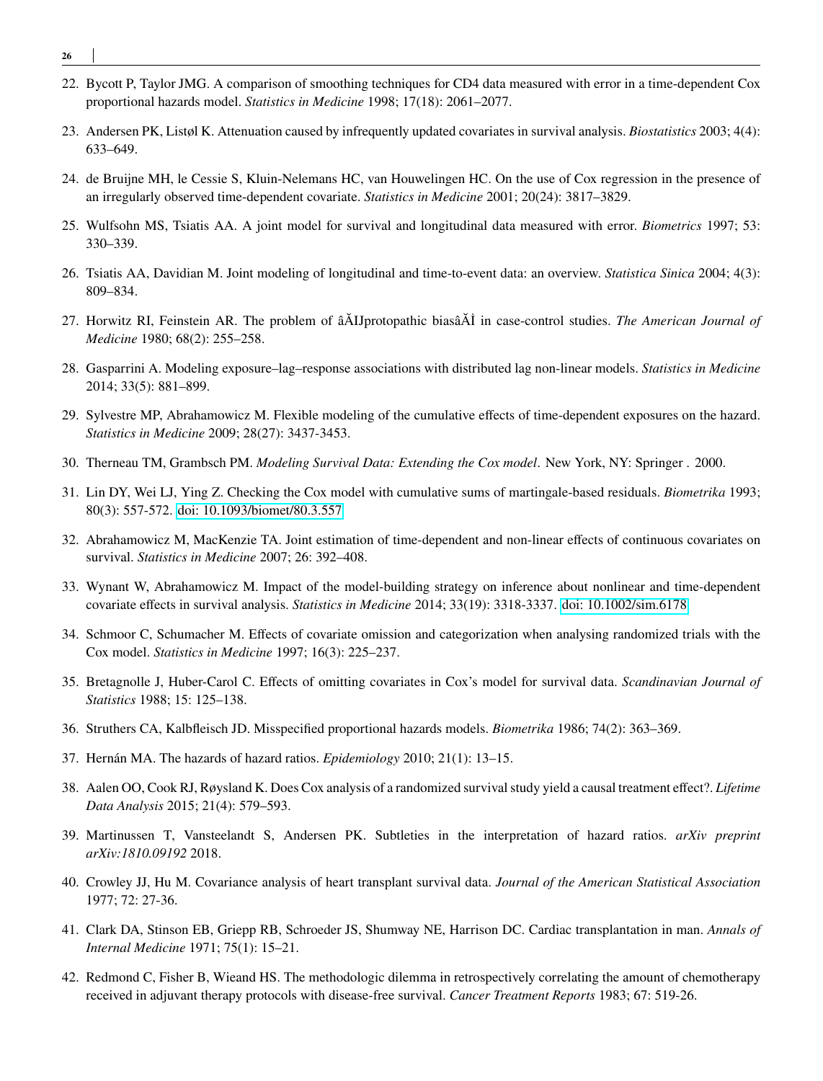- **26**
- <span id="page-25-0"></span>22. Bycott P, Taylor JMG. A comparison of smoothing techniques for CD4 data measured with error in a time-dependent Cox proportional hazards model. *Statistics in Medicine* 1998; 17(18): 2061–2077.
- <span id="page-25-1"></span>23. Andersen PK, Listøl K. Attenuation caused by infrequently updated covariates in survival analysis. *Biostatistics* 2003; 4(4): 633–649.
- <span id="page-25-2"></span>24. de Bruijne MH, le Cessie S, Kluin-Nelemans HC, van Houwelingen HC. On the use of Cox regression in the presence of an irregularly observed time-dependent covariate. *Statistics in Medicine* 2001; 20(24): 3817–3829.
- <span id="page-25-3"></span>25. Wulfsohn MS, Tsiatis AA. A joint model for survival and longitudinal data measured with error. *Biometrics* 1997; 53: 330–339.
- <span id="page-25-4"></span>26. Tsiatis AA, Davidian M. Joint modeling of longitudinal and time-to-event data: an overview. *Statistica Sinica* 2004; 4(3): 809–834.
- <span id="page-25-5"></span>27. Horwitz RI, Feinstein AR. The problem of âĂIJprotopathic biasâĂİ in case-control studies. *The American Journal of Medicine* 1980; 68(2): 255–258.
- <span id="page-25-6"></span>28. Gasparrini A. Modeling exposure–lag–response associations with distributed lag non-linear models. *Statistics in Medicine* 2014; 33(5): 881–899.
- <span id="page-25-7"></span>29. Sylvestre MP, Abrahamowicz M. Flexible modeling of the cumulative effects of time-dependent exposures on the hazard. *Statistics in Medicine* 2009; 28(27): 3437-3453.
- <span id="page-25-8"></span>30. Therneau TM, Grambsch PM. *Modeling Survival Data: Extending the Cox model*. New York, NY: Springer . 2000.
- <span id="page-25-9"></span>31. Lin DY, Wei LJ, Ying Z. Checking the Cox model with cumulative sums of martingale-based residuals. *Biometrika* 1993; 80(3): 557-572. [doi: 10.1093/biomet/80.3.557](http://dx.doi.org/10.1093/biomet/80.3.557)
- <span id="page-25-10"></span>32. Abrahamowicz M, MacKenzie TA. Joint estimation of time-dependent and non-linear effects of continuous covariates on survival. *Statistics in Medicine* 2007; 26: 392–408.
- <span id="page-25-11"></span>33. Wynant W, Abrahamowicz M. Impact of the model-building strategy on inference about nonlinear and time-dependent covariate effects in survival analysis. *Statistics in Medicine* 2014; 33(19): 3318-3337. [doi: 10.1002/sim.6178](http://dx.doi.org/10.1002/sim.6178)
- <span id="page-25-12"></span>34. Schmoor C, Schumacher M. Effects of covariate omission and categorization when analysing randomized trials with the Cox model. *Statistics in Medicine* 1997; 16(3): 225–237.
- <span id="page-25-13"></span>35. Bretagnolle J, Huber-Carol C. Effects of omitting covariates in Cox's model for survival data. *Scandinavian Journal of Statistics* 1988; 15: 125–138.
- <span id="page-25-14"></span>36. Struthers CA, Kalbfleisch JD. Misspecified proportional hazards models. *Biometrika* 1986; 74(2): 363–369.
- <span id="page-25-15"></span>37. Hernán MA. The hazards of hazard ratios. *Epidemiology* 2010; 21(1): 13–15.
- <span id="page-25-16"></span>38. Aalen OO, Cook RJ, Røysland K. Does Cox analysis of a randomized survival study yield a causal treatment effect?.*Lifetime Data Analysis* 2015; 21(4): 579–593.
- <span id="page-25-17"></span>39. Martinussen T, Vansteelandt S, Andersen PK. Subtleties in the interpretation of hazard ratios. *arXiv preprint arXiv:1810.09192* 2018.
- <span id="page-25-18"></span>40. Crowley JJ, Hu M. Covariance analysis of heart transplant survival data. *Journal of the American Statistical Association* 1977; 72: 27-36.
- <span id="page-25-19"></span>41. Clark DA, Stinson EB, Griepp RB, Schroeder JS, Shumway NE, Harrison DC. Cardiac transplantation in man. *Annals of Internal Medicine* 1971; 75(1): 15–21.
- <span id="page-25-20"></span>42. Redmond C, Fisher B, Wieand HS. The methodologic dilemma in retrospectively correlating the amount of chemotherapy received in adjuvant therapy protocols with disease-free survival. *Cancer Treatment Reports* 1983; 67: 519-26.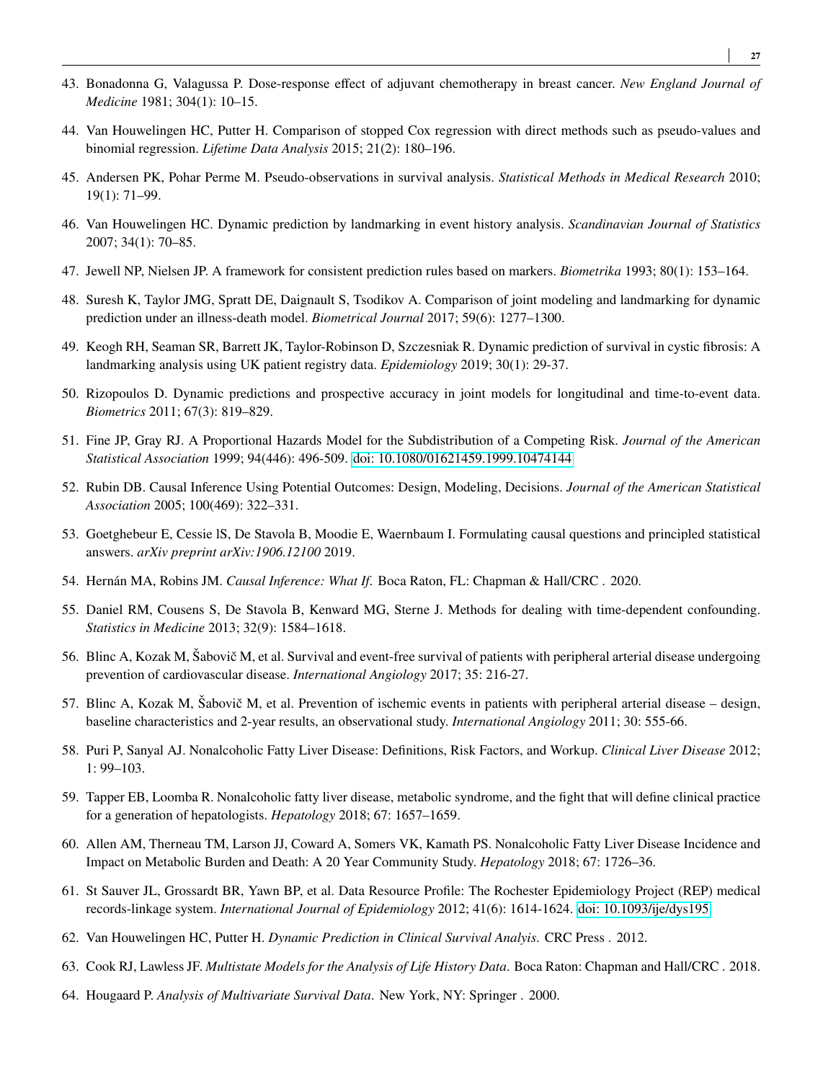- <span id="page-26-0"></span>43. Bonadonna G, Valagussa P. Dose-response effect of adjuvant chemotherapy in breast cancer. *New England Journal of Medicine* 1981; 304(1): 10–15.
- <span id="page-26-1"></span>44. Van Houwelingen HC, Putter H. Comparison of stopped Cox regression with direct methods such as pseudo-values and binomial regression. *Lifetime Data Analysis* 2015; 21(2): 180–196.
- <span id="page-26-2"></span>45. Andersen PK, Pohar Perme M. Pseudo-observations in survival analysis. *Statistical Methods in Medical Research* 2010; 19(1): 71–99.
- <span id="page-26-3"></span>46. Van Houwelingen HC. Dynamic prediction by landmarking in event history analysis. *Scandinavian Journal of Statistics* 2007; 34(1): 70–85.
- <span id="page-26-4"></span>47. Jewell NP, Nielsen JP. A framework for consistent prediction rules based on markers. *Biometrika* 1993; 80(1): 153–164.
- <span id="page-26-5"></span>48. Suresh K, Taylor JMG, Spratt DE, Daignault S, Tsodikov A. Comparison of joint modeling and landmarking for dynamic prediction under an illness-death model. *Biometrical Journal* 2017; 59(6): 1277–1300.
- <span id="page-26-6"></span>49. Keogh RH, Seaman SR, Barrett JK, Taylor-Robinson D, Szczesniak R. Dynamic prediction of survival in cystic fibrosis: A landmarking analysis using UK patient registry data. *Epidemiology* 2019; 30(1): 29-37.
- <span id="page-26-7"></span>50. Rizopoulos D. Dynamic predictions and prospective accuracy in joint models for longitudinal and time-to-event data. *Biometrics* 2011; 67(3): 819–829.
- <span id="page-26-8"></span>51. Fine JP, Gray RJ. A Proportional Hazards Model for the Subdistribution of a Competing Risk. *Journal of the American Statistical Association* 1999; 94(446): 496-509. [doi: 10.1080/01621459.1999.10474144](http://dx.doi.org/10.1080/01621459.1999.10474144)
- <span id="page-26-9"></span>52. Rubin DB. Causal Inference Using Potential Outcomes: Design, Modeling, Decisions. *Journal of the American Statistical Association* 2005; 100(469): 322–331.
- <span id="page-26-10"></span>53. Goetghebeur E, Cessie lS, De Stavola B, Moodie E, Waernbaum I. Formulating causal questions and principled statistical answers. *arXiv preprint arXiv:1906.12100* 2019.
- <span id="page-26-11"></span>54. Hernán MA, Robins JM. *Causal Inference: What If*. Boca Raton, FL: Chapman & Hall/CRC . 2020.
- <span id="page-26-12"></span>55. Daniel RM, Cousens S, De Stavola B, Kenward MG, Sterne J. Methods for dealing with time-dependent confounding. *Statistics in Medicine* 2013; 32(9): 1584–1618.
- <span id="page-26-13"></span>56. Blinc A, Kozak M, Šabovič M, et al. Survival and event-free survival of patients with peripheral arterial disease undergoing prevention of cardiovascular disease. *International Angiology* 2017; 35: 216-27.
- <span id="page-26-14"></span>57. Blinc A, Kozak M, Šabovič M, et al. Prevention of ischemic events in patients with peripheral arterial disease – design, baseline characteristics and 2-year results, an observational study. *International Angiology* 2011; 30: 555-66.
- <span id="page-26-15"></span>58. Puri P, Sanyal AJ. Nonalcoholic Fatty Liver Disease: Definitions, Risk Factors, and Workup. *Clinical Liver Disease* 2012; 1: 99–103.
- <span id="page-26-16"></span>59. Tapper EB, Loomba R. Nonalcoholic fatty liver disease, metabolic syndrome, and the fight that will define clinical practice for a generation of hepatologists. *Hepatology* 2018; 67: 1657–1659.
- <span id="page-26-17"></span>60. Allen AM, Therneau TM, Larson JJ, Coward A, Somers VK, Kamath PS. Nonalcoholic Fatty Liver Disease Incidence and Impact on Metabolic Burden and Death: A 20 Year Community Study. *Hepatology* 2018; 67: 1726–36.
- <span id="page-26-18"></span>61. St Sauver JL, Grossardt BR, Yawn BP, et al. Data Resource Profile: The Rochester Epidemiology Project (REP) medical records-linkage system. *International Journal of Epidemiology* 2012; 41(6): 1614-1624. [doi: 10.1093/ije/dys195](http://dx.doi.org/10.1093/ije/dys195)
- <span id="page-26-19"></span>62. Van Houwelingen HC, Putter H. *Dynamic Prediction in Clinical Survival Analyis*. CRC Press . 2012.
- <span id="page-26-20"></span>63. Cook RJ, Lawless JF. *Multistate Models for the Analysis of Life History Data*. Boca Raton: Chapman and Hall/CRC . 2018.
- <span id="page-26-21"></span>64. Hougaard P. *Analysis of Multivariate Survival Data*. New York, NY: Springer . 2000.